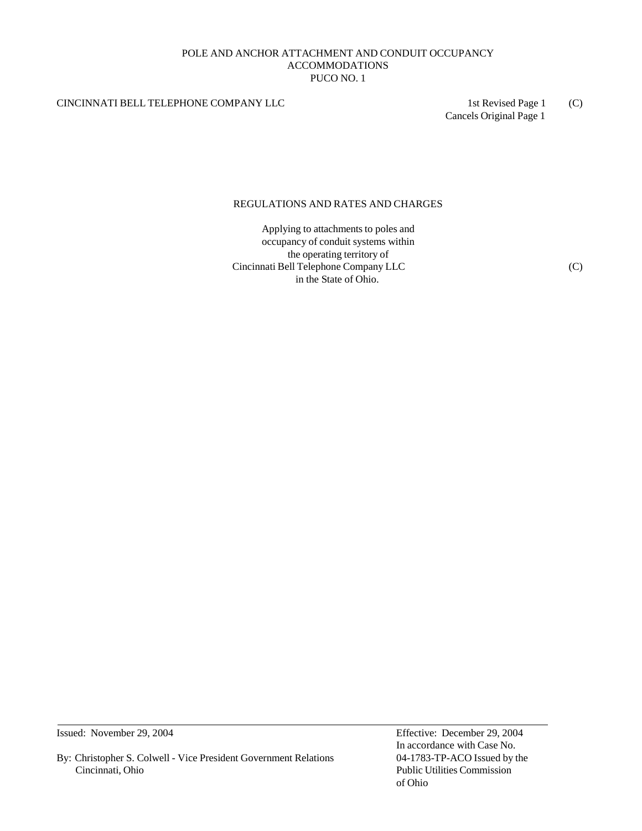## POLE AND ANCHOR ATTACHMENT AND CONDUIT OCCUPANCY ACCOMMODATIONS PUCO NO. 1

## CINCINNATI BELL TELEPHONE COMPANY LLC 1st Revised Page 1 (C)

Cancels Original Page 1

## REGULATIONS AND RATES AND CHARGES

Applying to attachments to poles and occupancy of conduit systems within the operating territory of Cincinnati Bell Telephone Company LLC (C) in the State of Ohio.

Issued: November 29, 2004 Effective: December 29, 2004

By: Christopher S. Colwell - Vice President Government Relations 04-1783-TP-ACO Issued by the Cincinnati, Ohio Public Utilities Commission

In accordance with Case No. of Ohio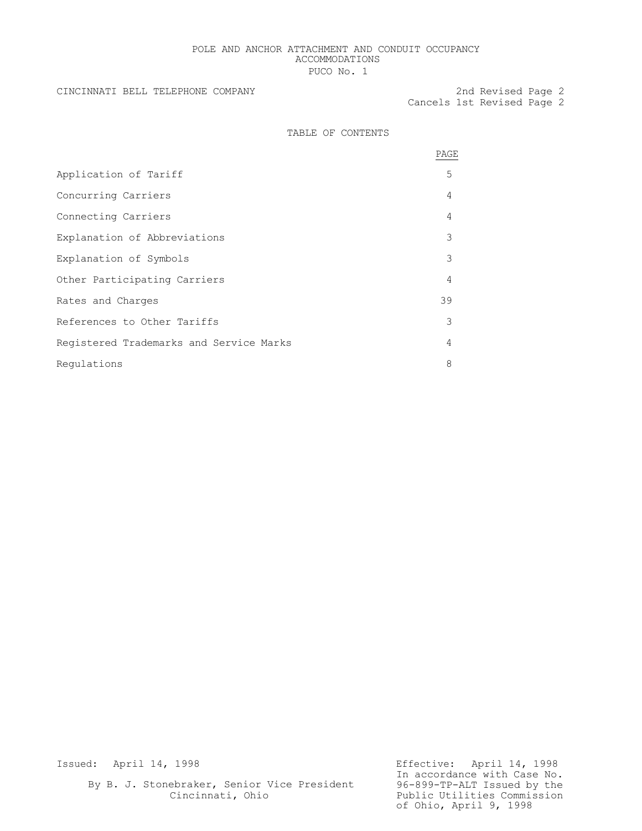## POLE AND ANCHOR ATTACHMENT AND CONDUIT OCCUPANCY ACCOMMODATIONS PUCO No. 1

### CINCINNATI BELL TELEPHONE COMPANY 2nd Revised Page 2

Cancels 1st Revised Page 2

## TABLE OF CONTENTS

|                                         | PAGE |
|-----------------------------------------|------|
| Application of Tariff                   | 5    |
| Concurring Carriers                     | 4    |
| Connecting Carriers                     | 4    |
| Explanation of Abbreviations            | 3    |
| Explanation of Symbols                  | 3    |
| Other Participating Carriers            | 4    |
| Rates and Charges                       | 39   |
| References to Other Tariffs             | 3    |
| Registered Trademarks and Service Marks | 4    |
| Regulations                             | 8    |

Issued: April 14, 1998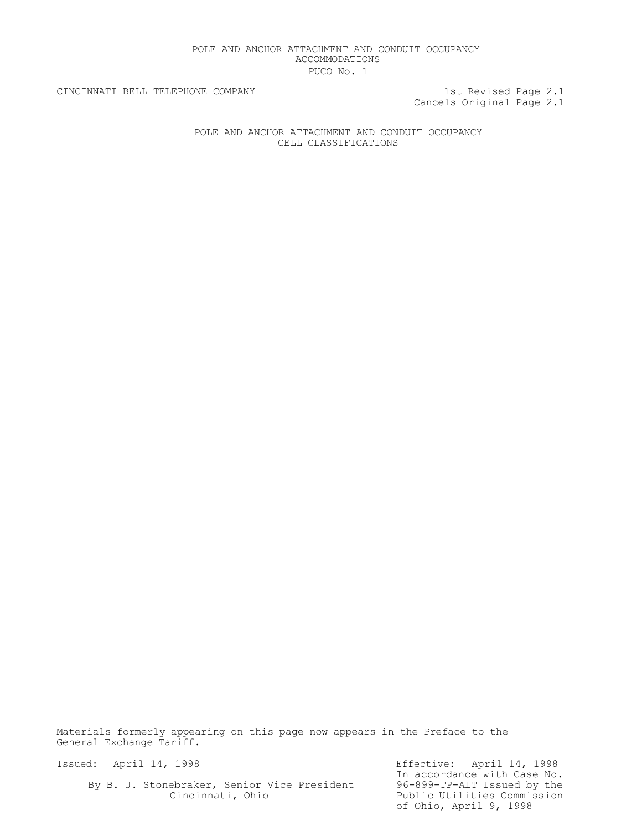## POLE AND ANCHOR ATTACHMENT AND CONDUIT OCCUPANCY ACCOMMODATIONS PUCO No. 1

Cancels Original Page 2.1

CINCINNATI BELL TELEPHONE COMPANY 1st Revised Page 2.1

POLE AND ANCHOR ATTACHMENT AND CONDUIT OCCUPANCY CELL CLASSIFICATIONS

Materials formerly appearing on this page now appears in the Preface to the General Exchange Tariff.

Issued: April 14, 1998

By B. J. Stonebraker, Senior Vice President Cincinnati, Ohio

Effective: April 14, 1998 In accordance with Case No. 96-899-TP-ALT Issued by the Public Utilities Commission of Ohio, April 9, 1998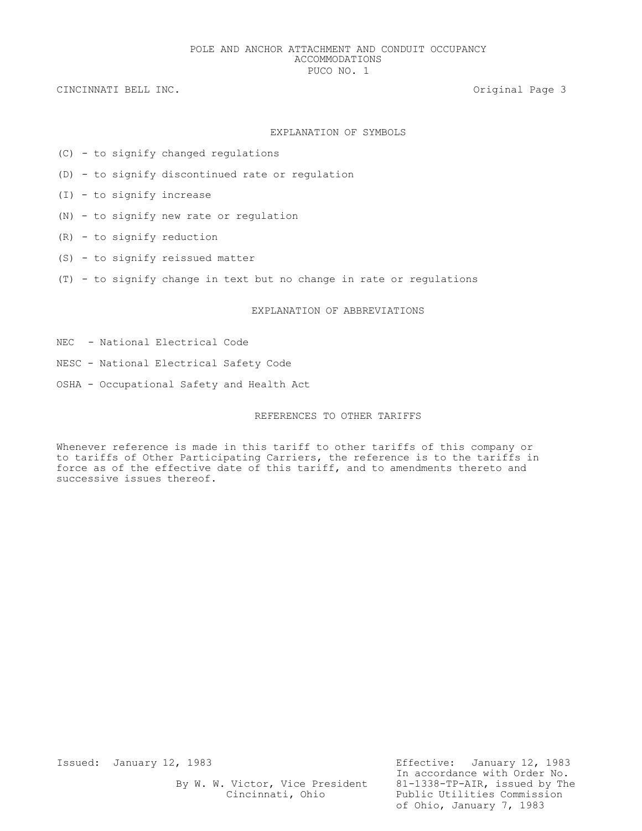## EXPLANATION OF SYMBOLS

- (C) to signify changed regulations
- (D) to signify discontinued rate or regulation
- (I) to signify increase
- (N) to signify new rate or regulation
- (R) to signify reduction
- (S) to signify reissued matter
- (T) to signify change in text but no change in rate or regulations

## EXPLANATION OF ABBREVIATIONS

- NEC National Electrical Code
- NESC National Electrical Safety Code
- OSHA Occupational Safety and Health Act

## REFERENCES TO OTHER TARIFFS

Whenever reference is made in this tariff to other tariffs of this company or to tariffs of Other Participating Carriers, the reference is to the tariffs in force as of the effective date of this tariff, and to amendments thereto and successive issues thereof.

By W. W. Victor, Vice President

Issued: January 12, 1983 Effective: January 12, 1983 In accordance with Order No.<br>81-1338-TP-AIR, issued by The Cincinnati, Ohio Public Utilities Commission of Ohio, January 7, 1983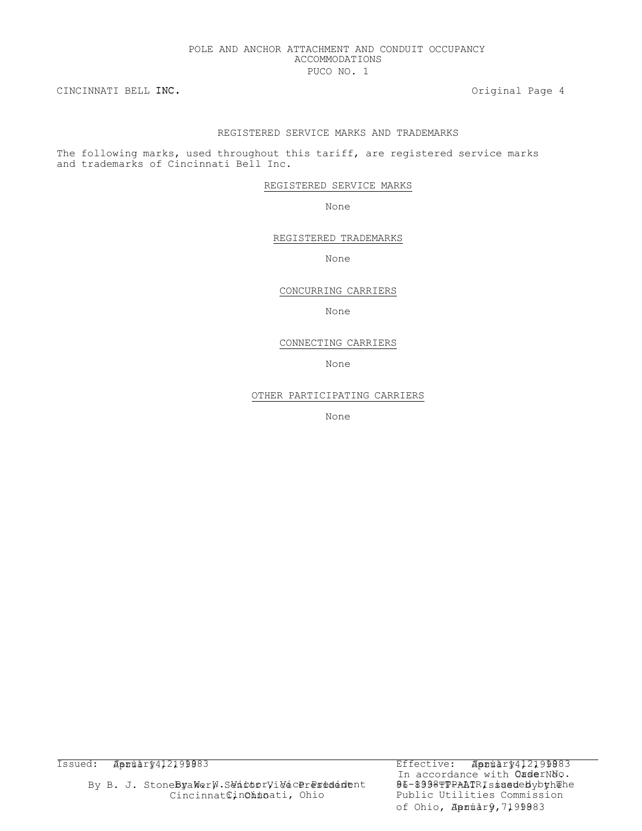## POLE AND ANCHOR ATTACHMENT AND CONDUIT OCCUPANCY ACCOMMODATIONS PUCO NO. 1

CINCINNATI BELL INC. Original Page 4

## REGISTERED SERVICE MARKS AND TRADEMARKS

The following marks, used throughout this tariff, are registered service marks and trademarks of Cincinnati Bell Inc.

REGISTERED SERVICE MARKS

None

REGISTERED TRADEMARKS

None

CONCURRING CARRIERS

None

### CONNECTING CARRIERS

None

OTHER PARTICIPATING CARRIERS

None

Issued: Apnudry412199983 Effective: Apnudry412199983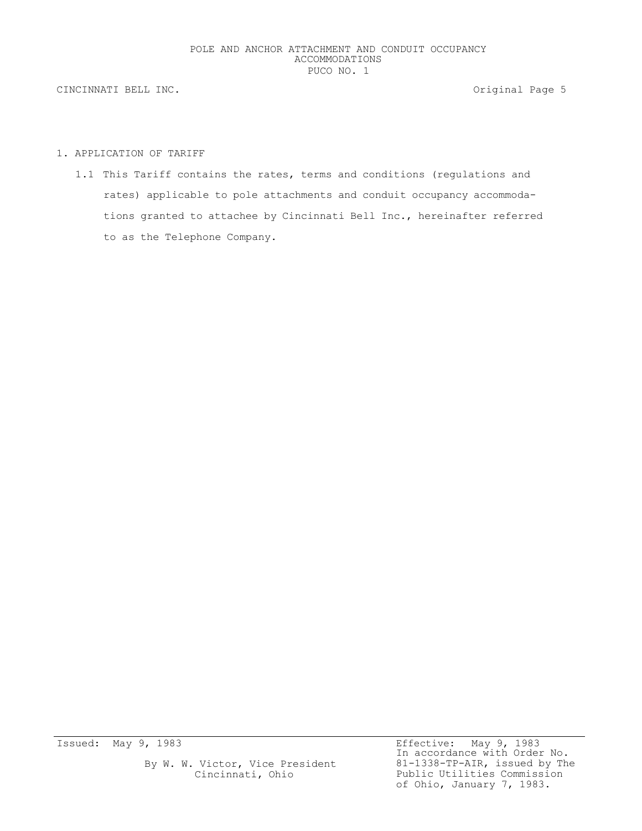## 1. APPLICATION OF TARIFF

1.1 This Tariff contains the rates, terms and conditions (regulations and rates) applicable to pole attachments and conduit occupancy accommodations granted to attachee by Cincinnati Bell Inc., hereinafter referred to as the Telephone Company.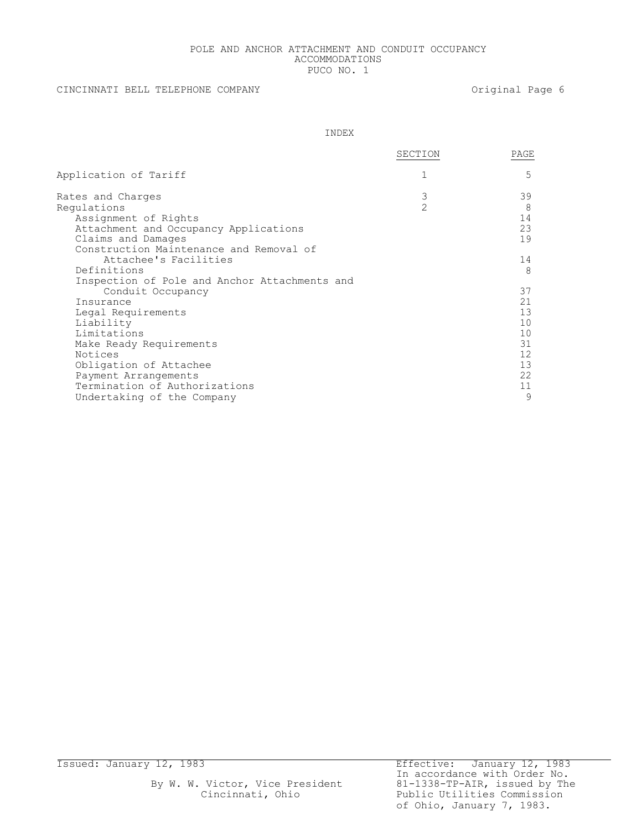## POLE AND ANCHOR ATTACHMENT AND CONDUIT OCCUPANCY ACCOMMODATIONS PUCO NO. 1

## CINCINNATI BELL TELEPHONE COMPANY **Example 20 and 20 and 20 and 20 and 20 and 20 and 20 and 20 and 20 and 20 and 20 and 20 and 20 and 20 and 20 and 20 and 20 and 20 and 20 and 20 and 20 and 20 and 20 and 20 and 20 and 20 a**

INDEX

|                                               | SECTION        | PAGE              |
|-----------------------------------------------|----------------|-------------------|
| Application of Tariff                         |                | 5                 |
| Rates and Charges                             | 3              | 39                |
| Requlations                                   | $\overline{2}$ | 8                 |
| Assignment of Rights                          |                | 14                |
| Attachment and Occupancy Applications         |                | 23                |
| Claims and Damages                            |                | 19                |
| Construction Maintenance and Removal of       |                |                   |
| Attachee's Facilities                         |                | 14                |
| Definitions                                   |                | 8                 |
| Inspection of Pole and Anchor Attachments and |                |                   |
| Conduit Occupancy                             |                | 37                |
| Insurance                                     |                | 21                |
| Legal Requirements                            |                | 13                |
| Liability                                     |                | 10                |
| Limitations                                   |                | 10                |
| Make Ready Requirements                       |                | 31                |
| Notices                                       |                | $12 \overline{ }$ |
| Obligation of Attachee                        |                | 13                |
| Payment Arrangements                          |                | 22                |
| Termination of Authorizations                 |                | 11                |
| Undertaking of the Company                    |                | 9                 |
|                                               |                |                   |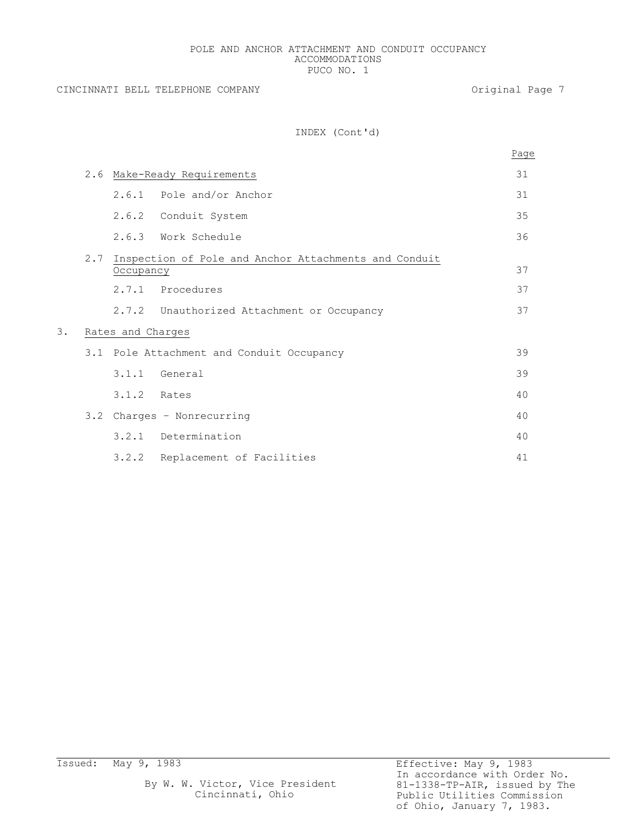## POLE AND ANCHOR ATTACHMENT AND CONDUIT OCCUPANCY ACCOMMODATIONS PUCO NO. 1

CINCINNATI BELL TELEPHONE COMPANY **Example 2** Original Page 7

## INDEX (Cont'd)

|    |                   |               |                                                       | Page |  |  |
|----|-------------------|---------------|-------------------------------------------------------|------|--|--|
|    |                   |               | 2.6 Make-Ready Requirements                           | 31   |  |  |
|    |                   |               | 2.6.1 Pole and/or Anchor                              | 31   |  |  |
|    |                   |               | 2.6.2 Conduit System                                  | 35   |  |  |
|    |                   |               | 2.6.3 Work Schedule                                   | 36   |  |  |
|    | 2.7               | Occupancy     | Inspection of Pole and Anchor Attachments and Conduit | 37   |  |  |
|    |                   | 2.7.1         | Procedures                                            | 37   |  |  |
|    |                   |               | 2.7.2 Unauthorized Attachment or Occupancy            | 37   |  |  |
| 3. | Rates and Charges |               |                                                       |      |  |  |
|    |                   |               | 3.1 Pole Attachment and Conduit Occupancy             | 39   |  |  |
|    |                   |               | $3.1.1$ General                                       | 39   |  |  |
|    |                   | $3.1.2$ Rates |                                                       | 40   |  |  |
|    |                   |               | 3.2 Charges - Nonrecurring                            | 40   |  |  |
|    |                   | 3.2.1         | Determination                                         | 40   |  |  |
|    |                   | 3.2.2         | Replacement of Facilities                             | 41   |  |  |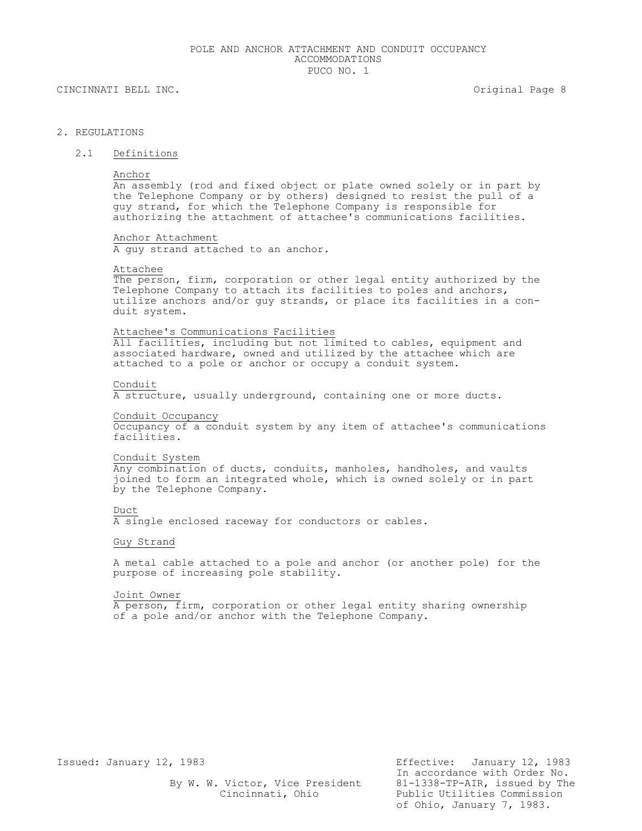## 2. REGULATIONS

## 2.1 Definitions

Anchor

An assembly (rod and fixed object or plate owned solely or in part by the Telephone Company or by others) designed to resist the pull of a guy strand, for which the Telephone Company is responsible for authorizing the attachment of attachee's communications facilities.

Anchor Attachment A guy strand attached to an anchor.

#### Attachee

The person, firm, corporation or other legal entity authorized by the Telephone Company to attach its facilities to poles and anchors, utilize anchors and/or guy strands, or place its facilities in a conduit system.

#### Attachee's Communications Facilities

All facilities, including but not limited to cables, equipment and associated hardware, owned and utilized by the attachee which are attached to a pole or anchor or occupy a conduit system.

#### Conduit

A structure, usually underground, containing one or more ducts.

## Conduit Occupancy

Occupancy of a conduit system by any item of attachee's communications facilities.

## Conduit System

Any combination of ducts, conduits, manholes, handholes, and vaults joined to form an integrated whole, which is owned solely or in part by the Telephone Company.

#### Duct

A single enclosed raceway for conductors or cables.

## Guy Strand

A metal cable attached to a pole and anchor (or another pole) for the purpose of increasing pole stability.

#### Joint Owner

A person, firm, corporation or other legal entity sharing ownership of a pole and/or anchor with the Telephone Company.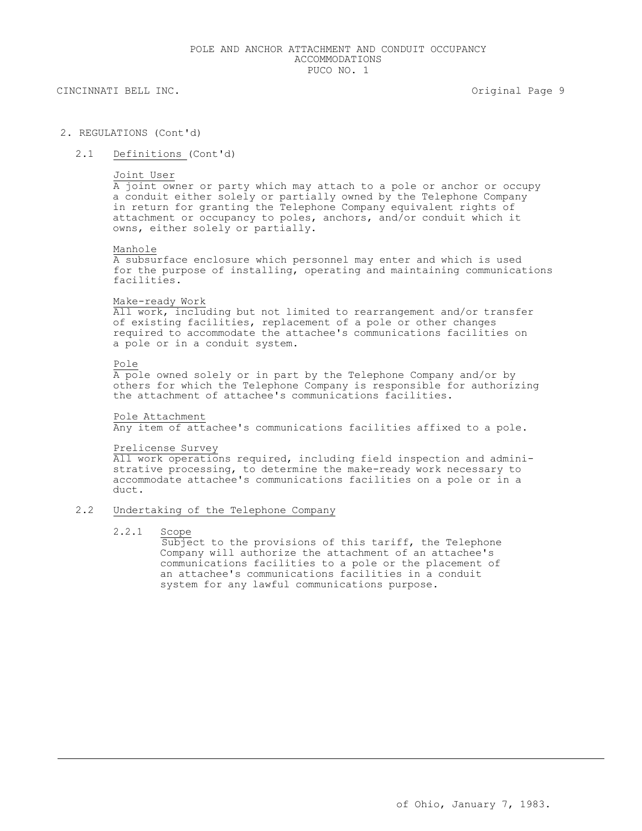### 2. REGULATIONS (Cont'd)

2.1 Definitions (Cont'd)

#### Joint User

A joint owner or party which may attach to a pole or anchor or occupy a conduit either solely or partially owned by the Telephone Company in return for granting the Telephone Company equivalent rights of attachment or occupancy to poles, anchors, and/or conduit which it owns, either solely or partially.

#### Manhole

A subsurface enclosure which personnel may enter and which is used for the purpose of installing, operating and maintaining communications facilities.

#### Make-ready Work

All work, including but not limited to rearrangement and/or transfer of existing facilities, replacement of a pole or other changes required to accommodate the attachee's communications facilities on a pole or in a conduit system.

## Pole

 $\overline{A}$  pole owned solely or in part by the Telephone Company and/or by others for which the Telephone Company is responsible for authorizing the attachment of attachee's communications facilities.

## Pole Attachment

Any item of attachee's communications facilities affixed to a pole.

#### Prelicense Survey

All work operations required, including field inspection and administrative processing, to determine the make-ready work necessary to accommodate attachee's communications facilities on a pole or in a duct.

### 2.2 Undertaking of the Telephone Company

#### 2.2.1 Scope

Subject to the provisions of this tariff, the Telephone Company will authorize the attachment of an attachee's communications facilities to a pole or the placement of an attachee's communications facilities in a conduit system for any lawful communications purpose.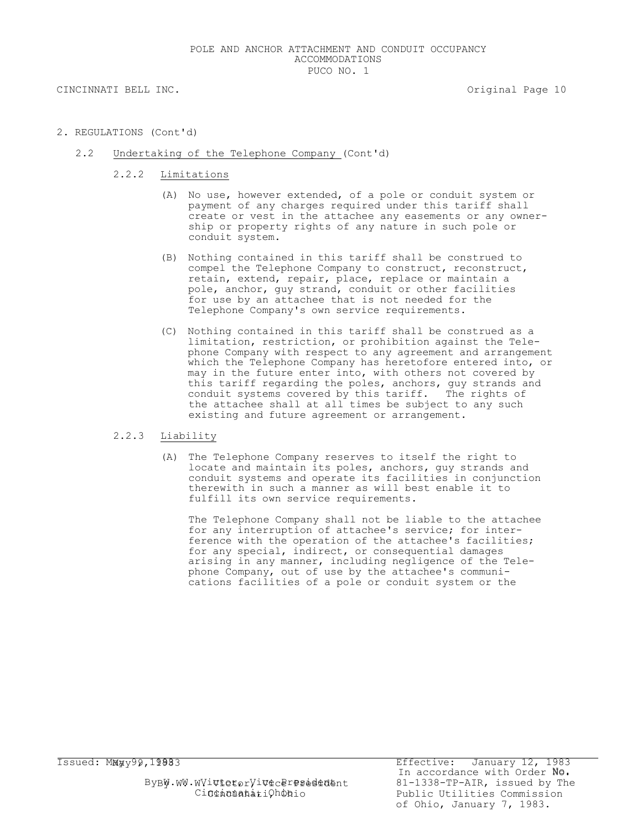- 2. REGULATIONS (Cont'd)
	- 2.2 Undertaking of the Telephone Company (Cont'd)
		- 2.2.2 Limitations
			- (A) No use, however extended, of a pole or conduit system or payment of any charges required under this tariff shall create or vest in the attachee any easements or any ownership or property rights of any nature in such pole or conduit system.
			- (B) Nothing contained in this tariff shall be construed to compel the Telephone Company to construct, reconstruct, retain, extend, repair, place, replace or maintain a pole, anchor, guy strand, conduit or other facilities for use by an attachee that is not needed for the Telephone Company's own service requirements.
			- (C) Nothing contained in this tariff shall be construed as a limitation, restriction, or prohibition against the Telephone Company with respect to any agreement and arrangement which the Telephone Company has heretofore entered into, or may in the future enter into, with others not covered by this tariff regarding the poles, anchors, guy strands and conduit systems covered by this tariff. The rights of the attachee shall at all times be subject to any such existing and future agreement or arrangement.

### 2.2.3 Liability

(A) The Telephone Company reserves to itself the right to locate and maintain its poles, anchors, guy strands and conduit systems and operate its facilities in conjunction therewith in such a manner as will best enable it to fulfill its own service requirements.

The Telephone Company shall not be liable to the attachee for any interruption of attachee's service; for interference with the operation of the attachee's facilities; for any special, indirect, or consequential damages arising in any manner, including negligence of the Telephone Company, out of use by the attachee's communications facilities of a pole or conduit system or the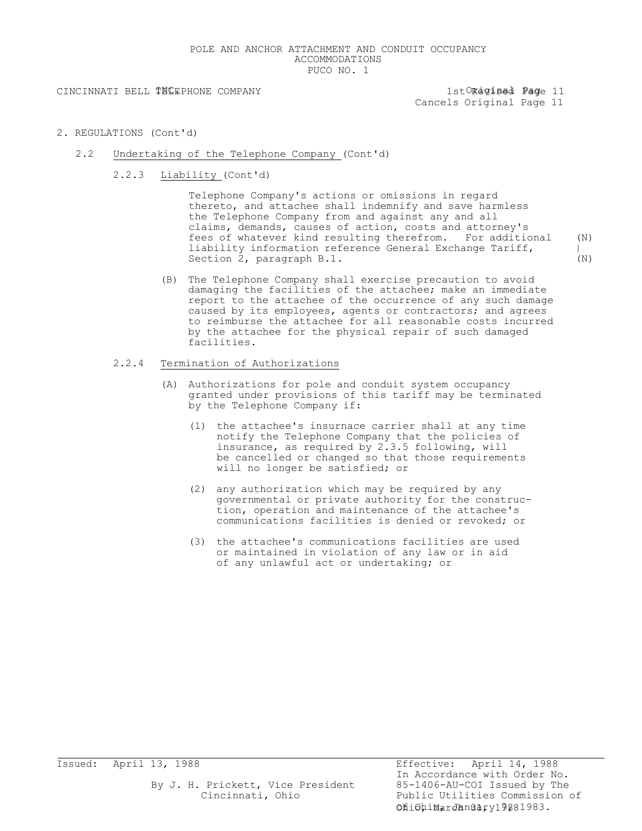### POLE AND ANCHOR ATTACHMENT AND CONDUIT OCCUPANCY ACCOMMODATIONS PUCO NO. 1

CINCINNATI BELL TNCEPHONE COMPANY 1stORegised Page 11

Cancels Original Page 11

- 2. REGULATIONS (Cont'd)
	- 2.2 Undertaking of the Telephone Company (Cont'd)
		- 2.2.3 Liability (Cont'd)

Telephone Company's actions or omissions in regard thereto, and attachee shall indemnify and save harmless the Telephone Company from and against any and all claims, demands, causes of action, costs and attorney's fees of whatever kind resulting therefrom. For additional (N) liability information reference General Exchange Tariff,  $|$ Section 2, paragraph B.1. (N)

(B) The Telephone Company shall exercise precaution to avoid damaging the facilities of the attachee; make an immediate report to the attachee of the occurrence of any such damage caused by its employees, agents or contractors; and agrees to reimburse the attachee for all reasonable costs incurred by the attachee for the physical repair of such damaged facilities.

## 2.2.4 Termination of Authorizations

- (A) Authorizations for pole and conduit system occupancy granted under provisions of this tariff may be terminated by the Telephone Company if:
	- (1) the attachee's insurnace carrier shall at any time notify the Telephone Company that the policies of insurance, as required by 2.3.5 following, will be cancelled or changed so that those requirements will no longer be satisfied; or
	- (2) any authorization which may be required by any governmental or private authority for the construction, operation and maintenance of the attachee's communications facilities is denied or revoked; or
	- (3) the attachee's communications facilities are used or maintained in violation of any law or in aid of any unlawful act or undertaking; or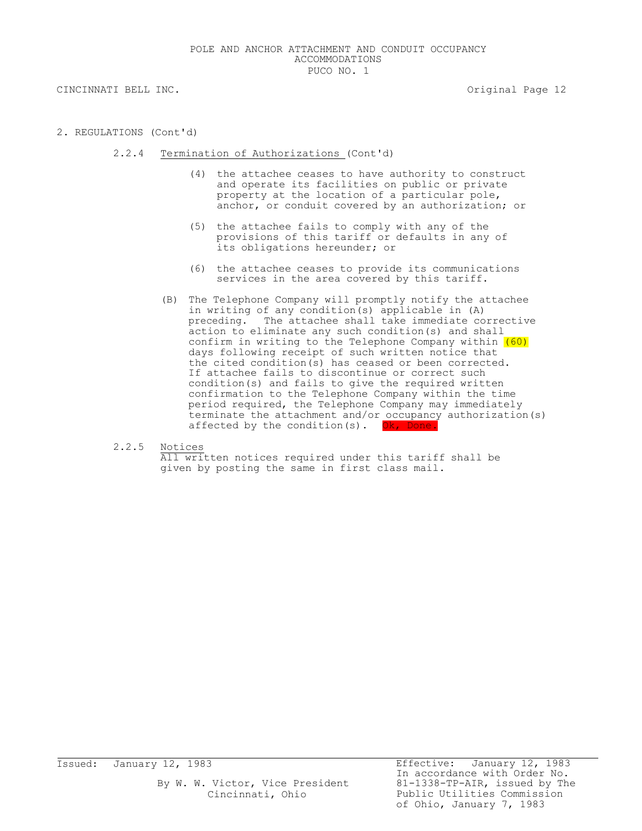CINCINNATI BELL INC. The contract of the contract of the contract of the contract of the contract of the contract of the contract of the contract of the contract of the contract of the contract of the contract of the contr

- 2. REGULATIONS (Cont'd)
	- 2.2.4 Termination of Authorizations (Cont'd)
		- (4) the attachee ceases to have authority to construct and operate its facilities on public or private property at the location of a particular pole, anchor, or conduit covered by an authorization; or
		- (5) the attachee fails to comply with any of the provisions of this tariff or defaults in any of its obligations hereunder; or
		- (6) the attachee ceases to provide its communications services in the area covered by this tariff.
		- (B) The Telephone Company will promptly notify the attachee in writing of any condition(s) applicable in (A) preceding. The attachee shall take immediate corrective action to eliminate any such condition(s) and shall confirm in writing to the Telephone Company within  $(60)$ days following receipt of such written notice that the cited condition(s) has ceased or been corrected. If attachee fails to discontinue or correct such condition(s) and fails to give the required written confirmation to the Telephone Company within the time period required, the Telephone Company may immediately terminate the attachment and/or occupancy authorization(s) affected by the condition(s). Ok, Done
	- 2.2.5 Notices

All written notices required under this tariff shall be given by posting the same in first class mail.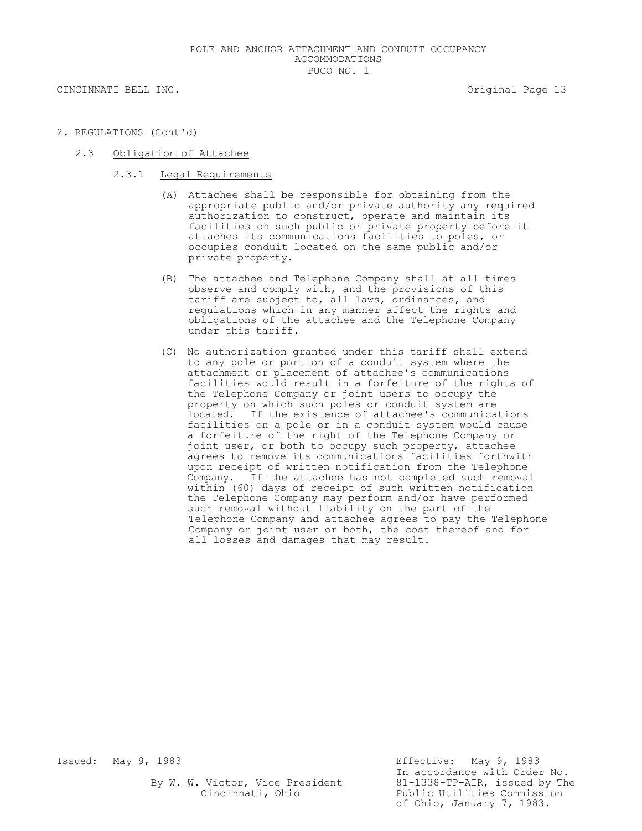CINCINNATI BELL INC. THE CONSTRUCTION OF STRAIN SECTION OF STRAIN SECTION AND SECTION OF STRAINING SECTION OF STRAINING SECTION AND SECTION OF STRAINING SECTION OF STRAINING SECTION AND SECTION OF STRAINING SECTION AND SEC

- 2. REGULATIONS (Cont'd)
	- 2.3 Obligation of Attachee
		- 2.3.1 Legal Requirements
			- (A) Attachee shall be responsible for obtaining from the appropriate public and/or private authority any required authorization to construct, operate and maintain its facilities on such public or private property before it attaches its communications facilities to poles, or occupies conduit located on the same public and/or private property.
			- (B) The attachee and Telephone Company shall at all times observe and comply with, and the provisions of this tariff are subject to, all laws, ordinances, and regulations which in any manner affect the rights and obligations of the attachee and the Telephone Company under this tariff.
			- (C) No authorization granted under this tariff shall extend to any pole or portion of a conduit system where the attachment or placement of attachee's communications facilities would result in a forfeiture of the rights of the Telephone Company or joint users to occupy the property on which such poles or conduit system are located. If the existence of attachee's communications facilities on a pole or in a conduit system would cause a forfeiture of the right of the Telephone Company or joint user, or both to occupy such property, attachee agrees to remove its communications facilities forthwith upon receipt of written notification from the Telephone Company. If the attachee has not completed such removal within (60) days of receipt of such written notification the Telephone Company may perform and/or have performed such removal without liability on the part of the Telephone Company and attachee agrees to pay the Telephone Company or joint user or both, the cost thereof and for all losses and damages that may result.

By W. W. Victor, Vice President<br>Cincinnati, Ohio

Issued: May 9, 1983 Effective: May 9, 1983 In accordance with Order No.<br>81-1338-TP-AIR, issued by The Public Utilities Commission of Ohio, January 7, 1983.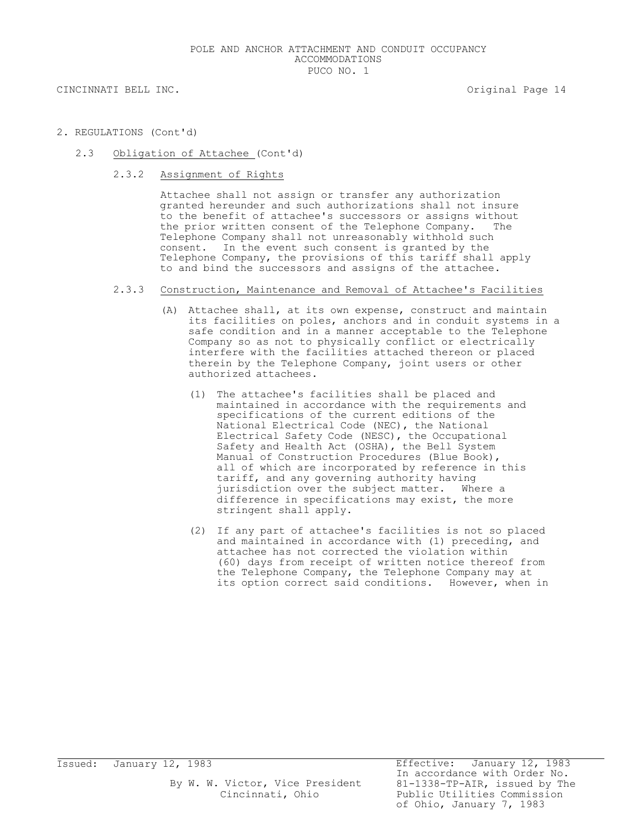- 2. REGULATIONS (Cont'd)
	- 2.3 Obligation of Attachee (Cont'd)
		- 2.3.2 Assignment of Rights

Attachee shall not assign or transfer any authorization granted hereunder and such authorizations shall not insure to the benefit of attachee's successors or assigns without the prior written consent of the Telephone Company. The Telephone Company shall not unreasonably withhold such consent. In the event such consent is granted by the Telephone Company, the provisions of this tariff shall apply to and bind the successors and assigns of the attachee.

## 2.3.3 Construction, Maintenance and Removal of Attachee's Facilities

- (A) Attachee shall, at its own expense, construct and maintain its facilities on poles, anchors and in conduit systems in a safe condition and in a manner acceptable to the Telephone Company so as not to physically conflict or electrically interfere with the facilities attached thereon or placed therein by the Telephone Company, joint users or other authorized attachees.
	- (1) The attachee's facilities shall be placed and maintained in accordance with the requirements and specifications of the current editions of the National Electrical Code (NEC), the National Electrical Safety Code (NESC), the Occupational Safety and Health Act (OSHA), the Bell System Manual of Construction Procedures (Blue Book), all of which are incorporated by reference in this tariff, and any governing authority having jurisdiction over the subject matter. Where a difference in specifications may exist, the more stringent shall apply.
	- (2) If any part of attachee's facilities is not so placed and maintained in accordance with (1) preceding, and attachee has not corrected the violation within (60) days from receipt of written notice thereof from the Telephone Company, the Telephone Company may at its option correct said conditions. However, when in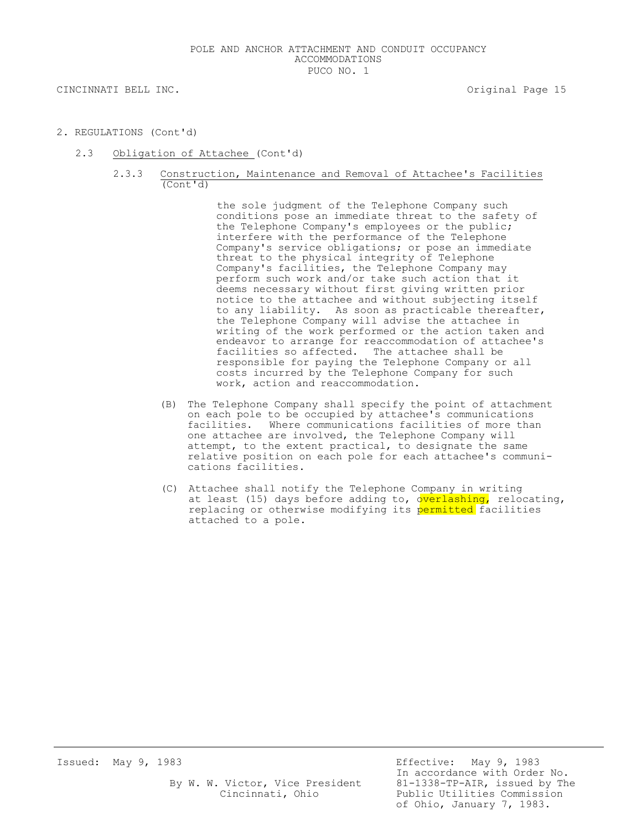CINCINNATI BELL INC. THE CONSTRUCTION OF STRAIN SERVICE OF STRAIN SERVICE OF STRAINING SERVICE OF STRAINING SERVICE OF STRAINING SERVICE OF STRAINING SERVICE OF STRAINING SERVICE OF STRAINING SERVICE OF STRAINING SERVICE O

- 2. REGULATIONS (Cont'd)
	- 2.3 Obligation of Attachee (Cont'd)
		- 2.3.3 Construction, Maintenance and Removal of Attachee's Facilities (Cont'd)

the sole judgment of the Telephone Company such conditions pose an immediate threat to the safety of the Telephone Company's employees or the public; interfere with the performance of the Telephone Company's service obligations; or pose an immediate threat to the physical integrity of Telephone Company's facilities, the Telephone Company may perform such work and/or take such action that it deems necessary without first giving written prior notice to the attachee and without subjecting itself to any liability. As soon as practicable thereafter, the Telephone Company will advise the attachee in writing of the work performed or the action taken and endeavor to arrange for reaccommodation of attachee's facilities so affected. The attachee shall be responsible for paying the Telephone Company or all costs incurred by the Telephone Company for such work, action and reaccommodation.

- (B) The Telephone Company shall specify the point of attachment on each pole to be occupied by attachee's communications facilities. Where communications facilities of more than one attachee are involved, the Telephone Company will attempt, to the extent practical, to designate the same relative position on each pole for each attachee's communications facilities.
- (C) Attachee shall notify the Telephone Company in writing at least (15) days before adding to, overlashing, relocating, replacing or otherwise modifying its permitted facilities attached to a pole.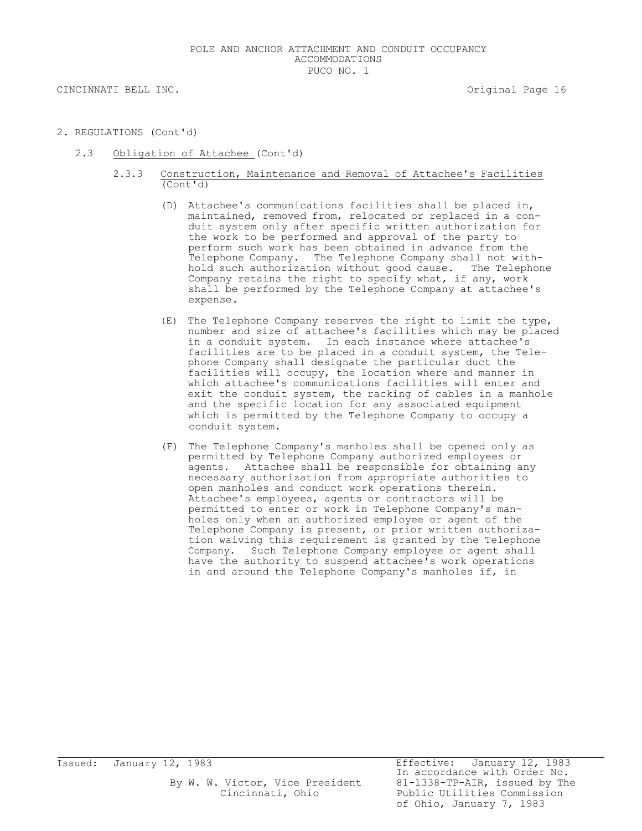CINCINNATI BELL INC. THE CONSTRUCTION OF STRAIN SERVICE OF STRAIN SERVICE OF STRAINING SERVICE OF STRAINING SERVICE OF STRAINING SERVICE OF STRAINING SERVICE OF STRAINING SERVICE OF STRAINING SERVICE OF STRAINING SERVICE O

- 2. REGULATIONS (Cont'd)
	- 2.3 Obligation of Attachee (Cont'd)
		- 2.3.3 Construction, Maintenance and Removal of Attachee's Facilities (Cont'd)
			- (D) Attachee's communications facilities shall be placed in, maintained, removed from, relocated or replaced in a conduit system only after specific written authorization for the work to be performed and approval of the party to perform such work has been obtained in advance from the Telephone Company. The Telephone Company shall not withhold such authorization without good cause. The Telephone Company retains the right to specify what, if any, work shall be performed by the Telephone Company at attachee's expense.
			- (E) The Telephone Company reserves the right to limit the type, number and size of attachee's facilities which may be placed in a conduit system. In each instance where attachee's facilities are to be placed in a conduit system, the Telephone Company shall designate the particular duct the facilities will occupy, the location where and manner in which attachee's communications facilities will enter and exit the conduit system, the racking of cables in a manhole and the specific location for any associated equipment which is permitted by the Telephone Company to occupy a conduit system.
			- (F) The Telephone Company's manholes shall be opened only as permitted by Telephone Company authorized employees or agents. Attachee shall be responsible for obtaining any necessary authorization from appropriate authorities to open manholes and conduct work operations therein. Attachee's employees, agents or contractors will be permitted to enter or work in Telephone Company's manholes only when an authorized employee or agent of the Telephone Company is present, or prior written authorization waiving this requirement is granted by the Telephone Company. Such Telephone Company employee or agent shall have the authority to suspend attachee's work operations in and around the Telephone Company's manholes if, in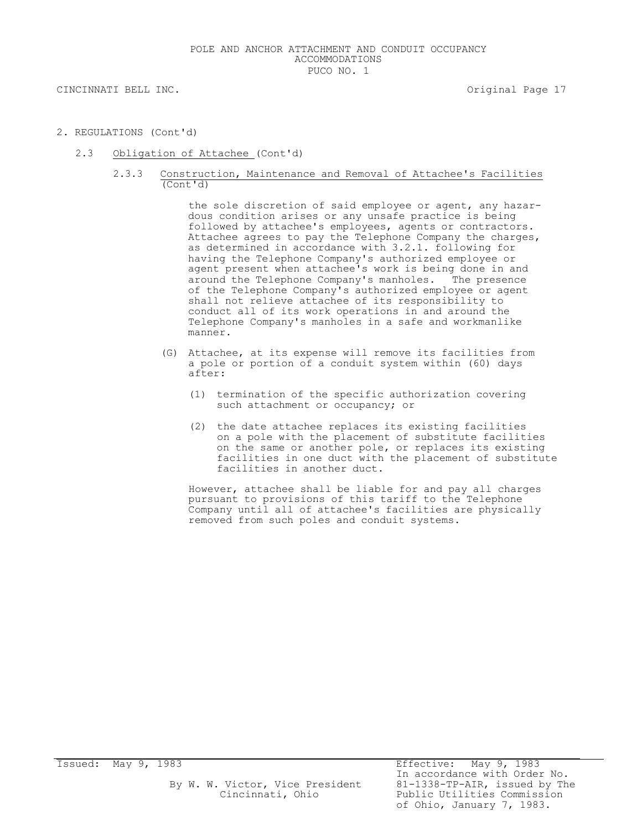CINCINNATI BELL INC. THE CONSTRUCTION OF STRAIN SERVICE OF STRAIN SERVICE OF STRAINING SERVICE OF STRAINING SERVICE OF STRAINING SERVICE OF STRAINING SERVICE OF STRAINING SERVICE OF STRAINING SERVICE OF STRAINING SERVICE O

- 2. REGULATIONS (Cont'd)
	- 2.3 Obligation of Attachee (Cont'd)
		- 2.3.3 Construction, Maintenance and Removal of Attachee's Facilities (Cont'd)

the sole discretion of said employee or agent, any hazardous condition arises or any unsafe practice is being followed by attachee's employees, agents or contractors. Attachee agrees to pay the Telephone Company the charges, as determined in accordance with 3.2.1. following for having the Telephone Company's authorized employee or agent present when attachee's work is being done in and around the Telephone Company's manholes. The presence of the Telephone Company's authorized employee or agent shall not relieve attachee of its responsibility to conduct all of its work operations in and around the Telephone Company's manholes in a safe and workmanlike manner.

- (G) Attachee, at its expense will remove its facilities from a pole or portion of a conduit system within (60) days after:
	- (1) termination of the specific authorization covering such attachment or occupancy; or
	- (2) the date attachee replaces its existing facilities on a pole with the placement of substitute facilities on the same or another pole, or replaces its existing facilities in one duct with the placement of substitute facilities in another duct.

However, attachee shall be liable for and pay all charges pursuant to provisions of this tariff to the Telephone Company until all of attachee's facilities are physically removed from such poles and conduit systems.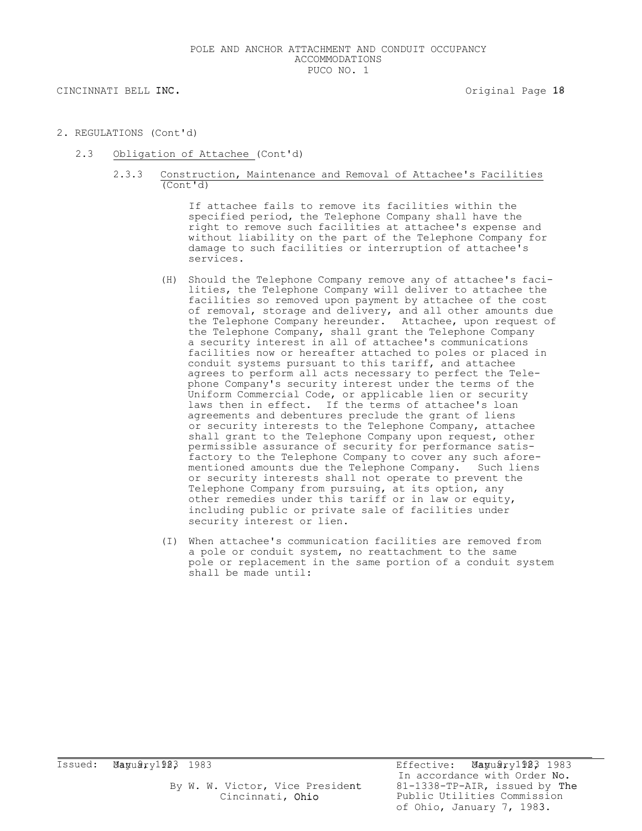CINCINNATI BELL INC. **CINCINNATI BELL INC. CINCINNATI BELL INC.** 

- 2. REGULATIONS (Cont'd)
	- 2.3 Obligation of Attachee (Cont'd)
		- 2.3.3 Construction, Maintenance and Removal of Attachee's Facilities (Cont'd)

If attachee fails to remove its facilities within the specified period, the Telephone Company shall have the right to remove such facilities at attachee's expense and without liability on the part of the Telephone Company for damage to such facilities or interruption of attachee's services.

- (H) Should the Telephone Company remove any of attachee's facilities, the Telephone Company will deliver to attachee the facilities so removed upon payment by attachee of the cost of removal, storage and delivery, and all other amounts due the Telephone Company hereunder. Attachee, upon request of the Telephone Company, shall grant the Telephone Company a security interest in all of attachee's communications facilities now or hereafter attached to poles or placed in conduit systems pursuant to this tariff, and attachee agrees to perform all acts necessary to perfect the Telephone Company's security interest under the terms of the Uniform Commercial Code, or applicable lien or security laws then in effect. If the terms of attachee's loan agreements and debentures preclude the grant of liens or security interests to the Telephone Company, attachee shall grant to the Telephone Company upon request, other permissible assurance of security for performance satisfactory to the Telephone Company to cover any such aforementioned amounts due the Telephone Company. Such liens or security interests shall not operate to prevent the Telephone Company from pursuing, at its option, any other remedies under this tariff or in law or equity, including public or private sale of facilities under security interest or lien.
- (I) When attachee's communication facilities are removed from a pole or conduit system, no reattachment to the same pole or replacement in the same portion of a conduit system shall be made until: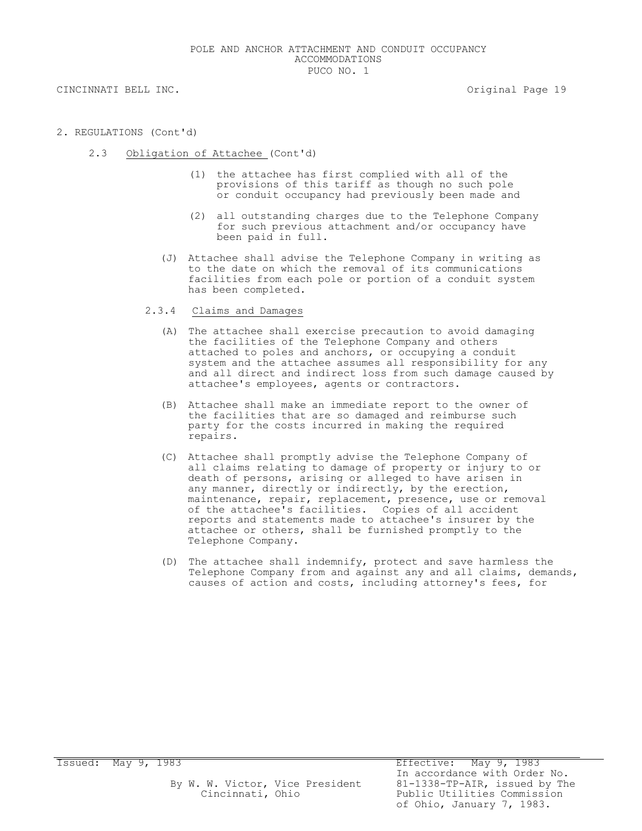- 2. REGULATIONS (Cont'd)
	- 2.3 Obligation of Attachee (Cont'd)
		- (1) the attachee has first complied with all of the provisions of this tariff as though no such pole or conduit occupancy had previously been made and
		- (2) all outstanding charges due to the Telephone Company for such previous attachment and/or occupancy have been paid in full.
		- (J) Attachee shall advise the Telephone Company in writing as to the date on which the removal of its communications facilities from each pole or portion of a conduit system has been completed.
		- 2.3.4 Claims and Damages
			- (A) The attachee shall exercise precaution to avoid damaging the facilities of the Telephone Company and others attached to poles and anchors, or occupying a conduit system and the attachee assumes all responsibility for any and all direct and indirect loss from such damage caused by attachee's employees, agents or contractors.
			- (B) Attachee shall make an immediate report to the owner of the facilities that are so damaged and reimburse such party for the costs incurred in making the required repairs.
			- (C) Attachee shall promptly advise the Telephone Company of all claims relating to damage of property or injury to or death of persons, arising or alleged to have arisen in any manner, directly or indirectly, by the erection, maintenance, repair, replacement, presence, use or removal of the attachee's facilities. Copies of all accident reports and statements made to attachee's insurer by the attachee or others, shall be furnished promptly to the Telephone Company.
			- (D) The attachee shall indemnify, protect and save harmless the Telephone Company from and against any and all claims, demands, causes of action and costs, including attorney's fees, for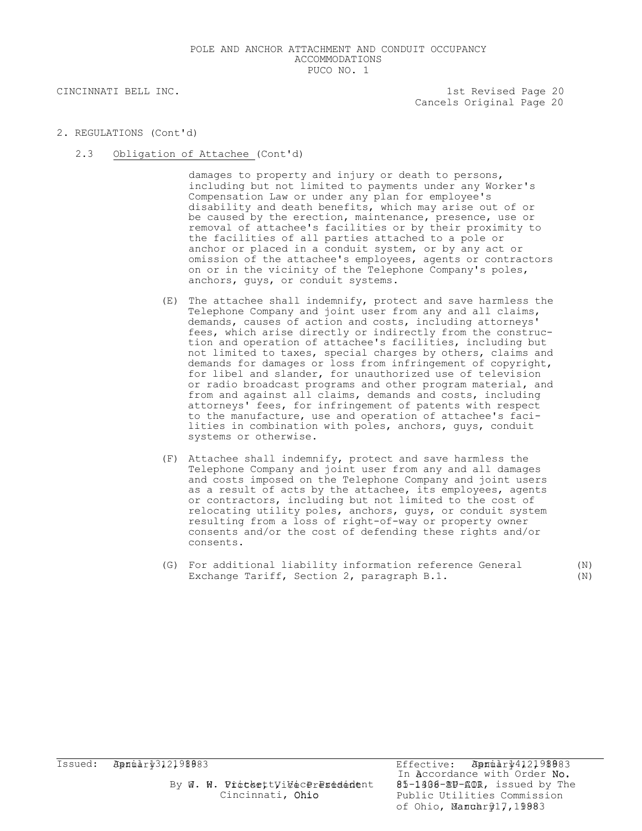## CINCINNATI BELL INC. THE REVISED OF STRAIN SERVISED AND REVISED AND REVISED AND REVISED AND REVISED AND REVISED AND REVISED AND REVISED AND REVISED AND REVISED AND REVISED AND REVISED AND REVISED AND REVISED AND REVISED AN Cancels Original Page 20

- 2. REGULATIONS (Cont'd)
	- 2.3 Obligation of Attachee (Cont'd)

damages to property and injury or death to persons, including but not limited to payments under any Worker's Compensation Law or under any plan for employee's disability and death benefits, which may arise out of or be caused by the erection, maintenance, presence, use or removal of attachee's facilities or by their proximity to the facilities of all parties attached to a pole or anchor or placed in a conduit system, or by any act or omission of the attachee's employees, agents or contractors on or in the vicinity of the Telephone Company's poles, anchors, guys, or conduit systems.

- (E) The attachee shall indemnify, protect and save harmless the Telephone Company and joint user from any and all claims, demands, causes of action and costs, including attorneys' fees, which arise directly or indirectly from the construction and operation of attachee's facilities, including but not limited to taxes, special charges by others, claims and demands for damages or loss from infringement of copyright, for libel and slander, for unauthorized use of television or radio broadcast programs and other program material, and from and against all claims, demands and costs, including attorneys' fees, for infringement of patents with respect to the manufacture, use and operation of attachee's facilities in combination with poles, anchors, guys, conduit systems or otherwise.
- (F) Attachee shall indemnify, protect and save harmless the Telephone Company and joint user from any and all damages and costs imposed on the Telephone Company and joint users as a result of acts by the attachee, its employees, agents or contractors, including but not limited to the cost of relocating utility poles, anchors, guys, or conduit system resulting from a loss of right-of-way or property owner consents and/or the cost of defending these rights and/or consents.
- (G) For additional liability information reference General (N) Exchange Tariff, Section 2, paragraph B.1. (N)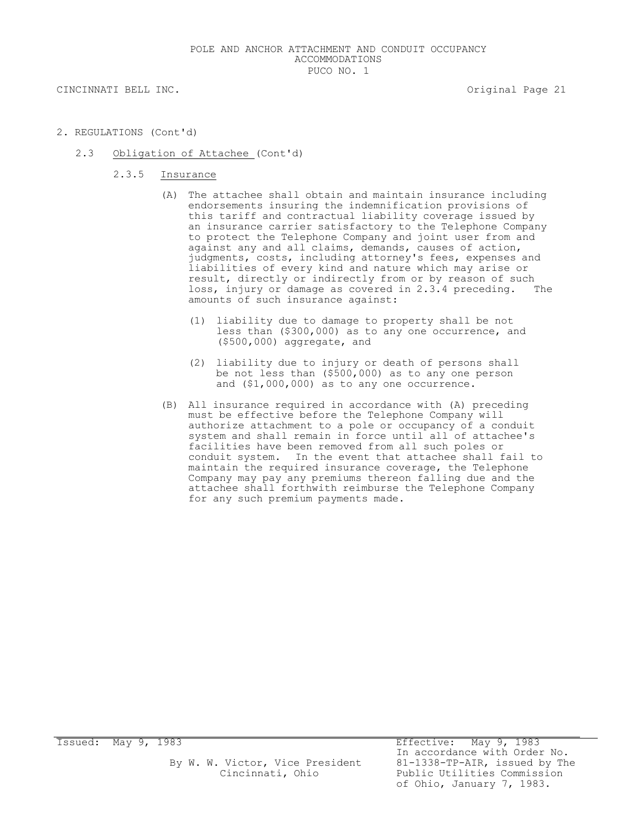- 2. REGULATIONS (Cont'd)
	- 2.3 Obligation of Attachee (Cont'd)
		- 2.3.5 Insurance
			- (A) The attachee shall obtain and maintain insurance including endorsements insuring the indemnification provisions of this tariff and contractual liability coverage issued by an insurance carrier satisfactory to the Telephone Company to protect the Telephone Company and joint user from and against any and all claims, demands, causes of action, judgments, costs, including attorney's fees, expenses and liabilities of every kind and nature which may arise or result, directly or indirectly from or by reason of such loss, injury or damage as covered in 2.3.4 preceding. The amounts of such insurance against:
				- (1) liability due to damage to property shall be not less than (\$300,000) as to any one occurrence, and (\$500,000) aggregate, and
				- (2) liability due to injury or death of persons shall be not less than (\$500,000) as to any one person and (\$1,000,000) as to any one occurrence.
			- (B) All insurance required in accordance with (A) preceding must be effective before the Telephone Company will authorize attachment to a pole or occupancy of a conduit system and shall remain in force until all of attachee's facilities have been removed from all such poles or conduit system. In the event that attachee shall fail to maintain the required insurance coverage, the Telephone Company may pay any premiums thereon falling due and the attachee shall forthwith reimburse the Telephone Company for any such premium payments made.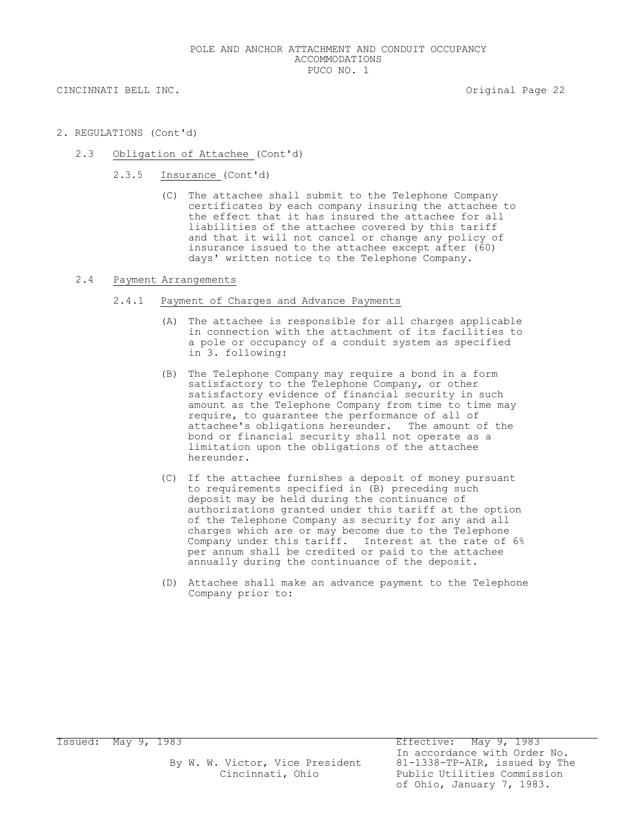- 2. REGULATIONS (Cont'd)
	- 2.3 Obligation of Attachee (Cont'd)
		- 2.3.5 Insurance (Cont'd)
			- (C) The attachee shall submit to the Telephone Company certificates by each company insuring the attachee to the effect that it has insured the attachee for all liabilities of the attachee covered by this tariff and that it will not cancel or change any policy of insurance issued to the attachee except after (60) days' written notice to the Telephone Company.

#### 2.4 Payment Arrangements

- 2.4.1 Payment of Charges and Advance Payments
	- (A) The attachee is responsible for all charges applicable in connection with the attachment of its facilities to a pole or occupancy of a conduit system as specified in 3. following:
	- (B) The Telephone Company may require a bond in a form satisfactory to the Telephone Company, or other satisfactory evidence of financial security in such amount as the Telephone Company from time to time may require, to guarantee the performance of all of attachee's obligations hereunder. The amount of the bond or financial security shall not operate as a limitation upon the obligations of the attachee hereunder.
	- (C) If the attachee furnishes a deposit of money pursuant to requirements specified in (B) preceding such deposit may be held during the continuance of authorizations granted under this tariff at the option of the Telephone Company as security for any and all charges which are or may become due to the Telephone Company under this tariff. Interest at the rate of 6% per annum shall be credited or paid to the attachee annually during the continuance of the deposit.
	- (D) Attachee shall make an advance payment to the Telephone Company prior to: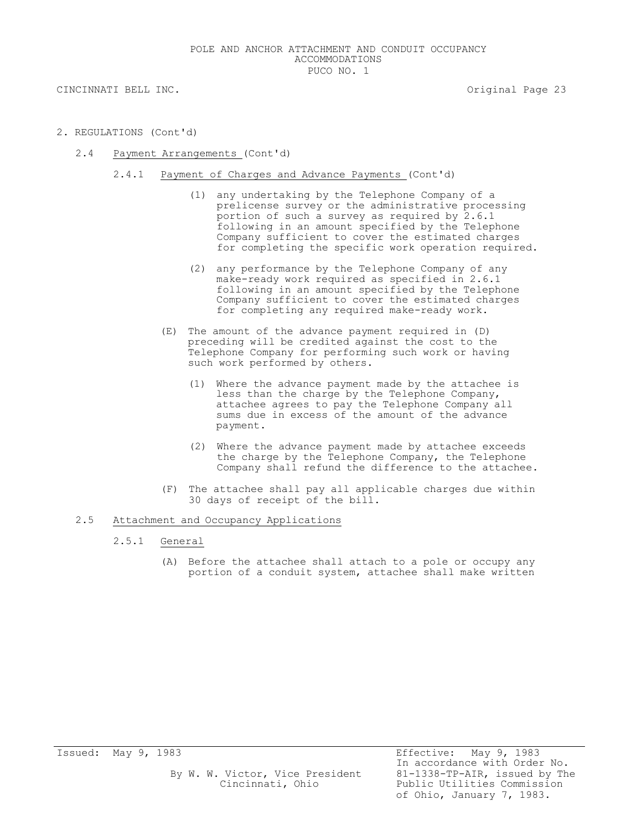- 2. REGULATIONS (Cont'd)
	- 2.4 Payment Arrangements (Cont'd)
		- 2.4.1 Payment of Charges and Advance Payments (Cont'd)
			- (1) any undertaking by the Telephone Company of a prelicense survey or the administrative processing portion of such a survey as required by 2.6.1 following in an amount specified by the Telephone Company sufficient to cover the estimated charges for completing the specific work operation required.
			- (2) any performance by the Telephone Company of any make-ready work required as specified in 2.6.1 following in an amount specified by the Telephone Company sufficient to cover the estimated charges for completing any required make-ready work.
			- (E) The amount of the advance payment required in (D) preceding will be credited against the cost to the Telephone Company for performing such work or having such work performed by others.
				- (1) Where the advance payment made by the attachee is less than the charge by the Telephone Company, attachee agrees to pay the Telephone Company all sums due in excess of the amount of the advance payment.
				- (2) Where the advance payment made by attachee exceeds the charge by the Telephone Company, the Telephone Company shall refund the difference to the attachee.
			- (F) The attachee shall pay all applicable charges due within 30 days of receipt of the bill.

### 2.5 Attachment and Occupancy Applications

- 2.5.1 General
	- (A) Before the attachee shall attach to a pole or occupy any portion of a conduit system, attachee shall make written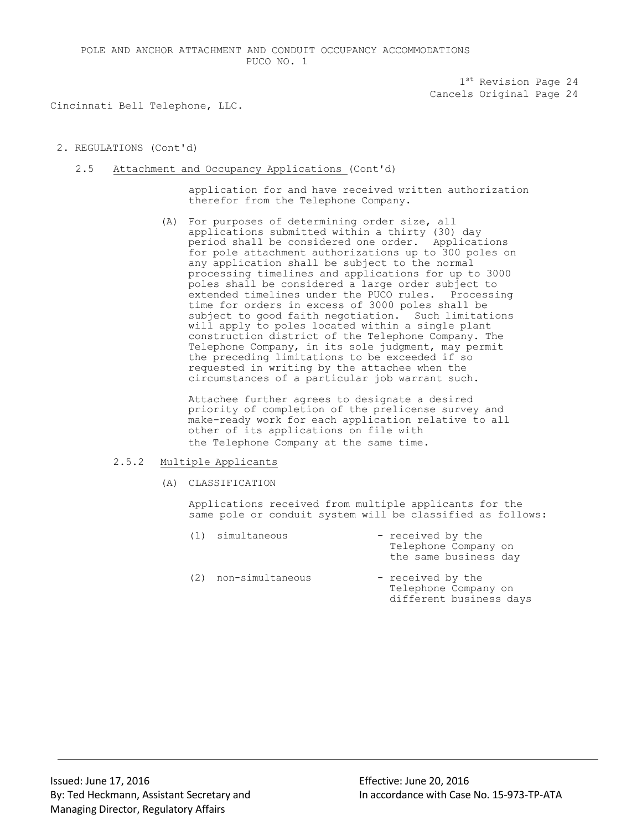$1<sup>st</sup>$  Revision Page 24 Cancels Original Page 24

Cincinnati Bell Telephone, LLC.

## 2. REGULATIONS (Cont'd)

2.5 Attachment and Occupancy Applications (Cont'd)

application for and have received written authorization therefor from the Telephone Company.

(A) For purposes of determining order size, all applications submitted within a thirty (30) day period shall be considered one order. Applications for pole attachment authorizations up to 300 poles on any application shall be subject to the normal processing timelines and applications for up to 3000 poles shall be considered a large order subject to extended timelines under the PUCO rules. Processing time for orders in excess of 3000 poles shall be subject to good faith negotiation. Such limitations will apply to poles located within a single plant construction district of the Telephone Company. The Telephone Company, in its sole judgment, may permit the preceding limitations to be exceeded if so requested in writing by the attachee when the circumstances of a particular job warrant such.

Attachee further agrees to designate a desired priority of completion of the prelicense survey and make-ready work for each application relative to all other of its applications on file with the Telephone Company at the same time.

## 2.5.2 Multiple Applicants

(A) CLASSIFICATION

Applications received from multiple applicants for the same pole or conduit system will be classified as follows:

- (1) simultaneous received by the Telephone Company on the same business day (2) non-simultaneous - received by the
	- Telephone Company on different business days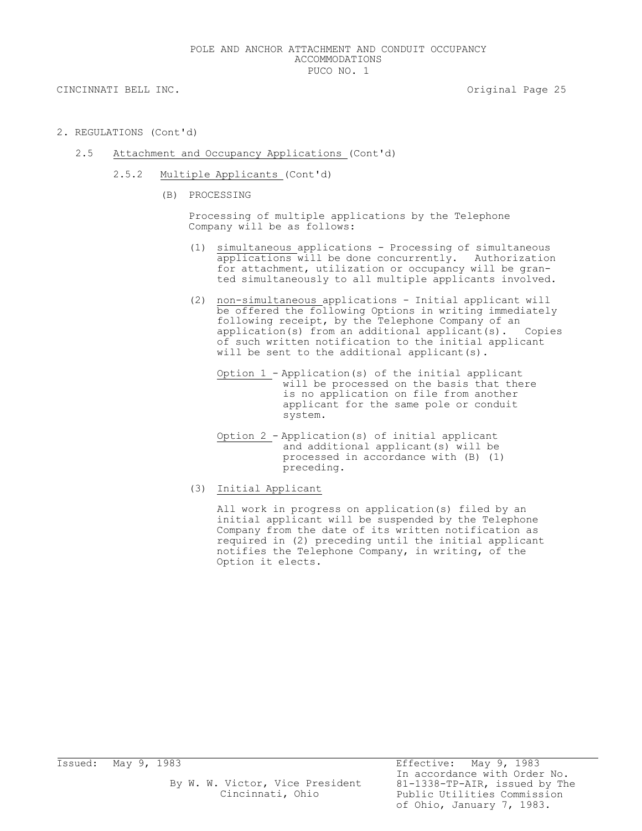- 2. REGULATIONS (Cont'd)
	- 2.5 Attachment and Occupancy Applications (Cont'd)
		- 2.5.2 Multiple Applicants (Cont'd)
			- (B) PROCESSING

Processing of multiple applications by the Telephone Company will be as follows:

- (1) simultaneous applications Processing of simultaneous applications will be done concurrently. Authorization for attachment, utilization or occupancy will be granted simultaneously to all multiple applicants involved.
- (2) non-simultaneous applications Initial applicant will be offered the following Options in writing immediately following receipt, by the Telephone Company of an application(s) from an additional applicant(s). Copies of such written notification to the initial applicant will be sent to the additional applicant(s).
	- Option 1 Application(s) of the initial applicant will be processed on the basis that there is no application on file from another applicant for the same pole or conduit system.
	- Option 2 Application(s) of initial applicant and additional applicant(s) will be processed in accordance with (B) (1) preceding.
- (3) Initial Applicant

All work in progress on application(s) filed by an initial applicant will be suspended by the Telephone Company from the date of its written notification as required in (2) preceding until the initial applicant notifies the Telephone Company, in writing, of the Option it elects.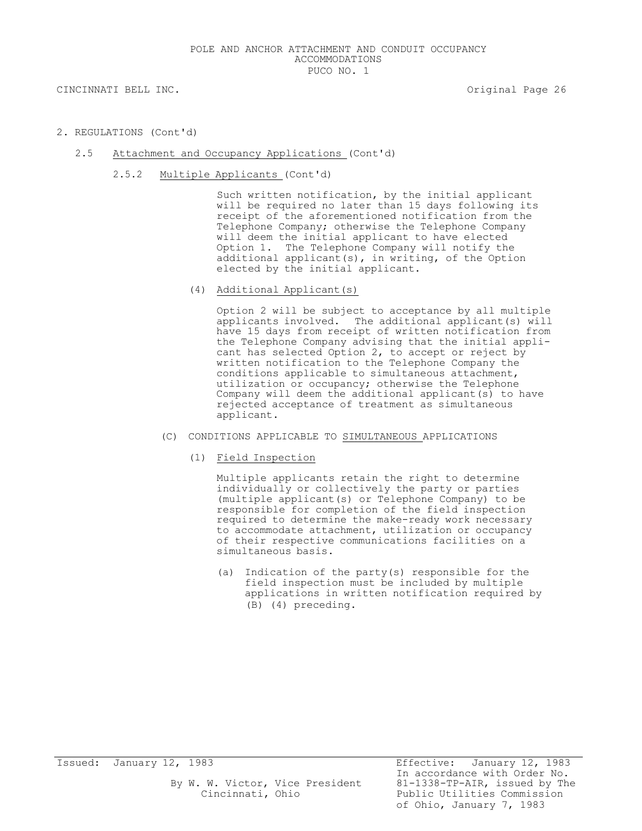- 2. REGULATIONS (Cont'd)
	- 2.5 Attachment and Occupancy Applications (Cont'd)
		- 2.5.2 Multiple Applicants (Cont'd)

Such written notification, by the initial applicant will be required no later than 15 days following its receipt of the aforementioned notification from the Telephone Company; otherwise the Telephone Company will deem the initial applicant to have elected Option 1. The Telephone Company will notify the additional applicant(s), in writing, of the Option elected by the initial applicant.

(4) Additional Applicant(s)

Option 2 will be subject to acceptance by all multiple applicants involved. The additional applicant(s) will have 15 days from receipt of written notification from the Telephone Company advising that the initial applicant has selected Option 2, to accept or reject by written notification to the Telephone Company the conditions applicable to simultaneous attachment, utilization or occupancy; otherwise the Telephone Company will deem the additional applicant(s) to have rejected acceptance of treatment as simultaneous applicant.

- (C) CONDITIONS APPLICABLE TO SIMULTANEOUS APPLICATIONS
	- (1) Field Inspection

Multiple applicants retain the right to determine individually or collectively the party or parties (multiple applicant(s) or Telephone Company) to be responsible for completion of the field inspection required to determine the make-ready work necessary to accommodate attachment, utilization or occupancy of their respective communications facilities on a simultaneous basis.

(a) Indication of the party(s) responsible for the field inspection must be included by multiple applications in written notification required by (B) (4) preceding.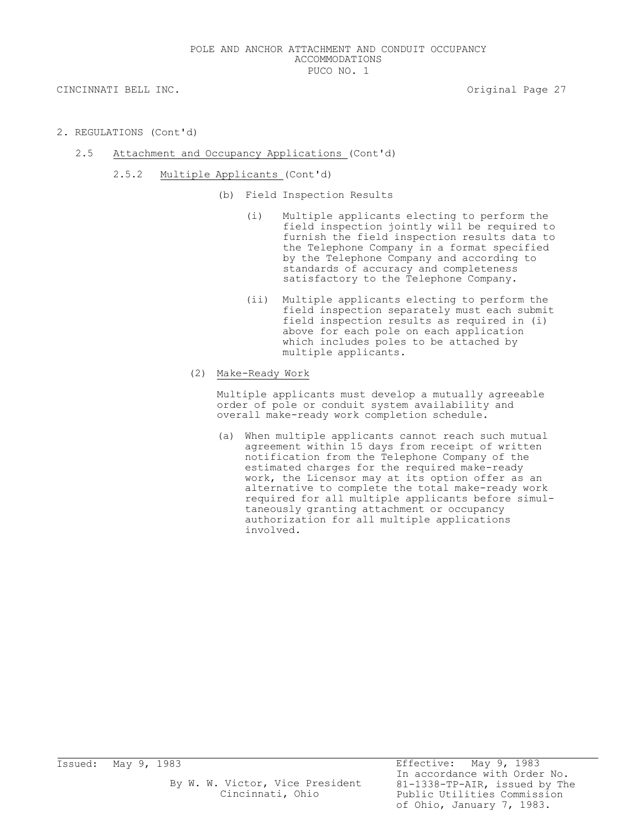- 2. REGULATIONS (Cont'd)
	- 2.5 Attachment and Occupancy Applications (Cont'd)
		- 2.5.2 Multiple Applicants (Cont'd)
			- (b) Field Inspection Results
				- (i) Multiple applicants electing to perform the field inspection jointly will be required to furnish the field inspection results data to the Telephone Company in a format specified by the Telephone Company and according to standards of accuracy and completeness satisfactory to the Telephone Company.
				- (ii) Multiple applicants electing to perform the field inspection separately must each submit field inspection results as required in (i) above for each pole on each application which includes poles to be attached by multiple applicants.
			- (2) Make-Ready Work

Multiple applicants must develop a mutually agreeable order of pole or conduit system availability and overall make-ready work completion schedule.

(a) When multiple applicants cannot reach such mutual agreement within 15 days from receipt of written notification from the Telephone Company of the estimated charges for the required make-ready work, the Licensor may at its option offer as an alternative to complete the total make-ready work required for all multiple applicants before simultaneously granting attachment or occupancy authorization for all multiple applications involved.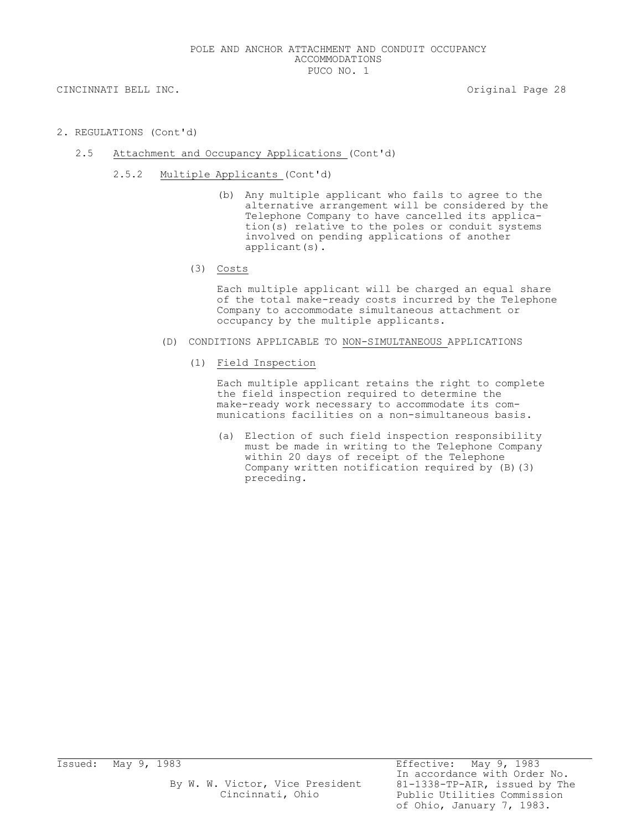- 2. REGULATIONS (Cont'd)
	- 2.5 Attachment and Occupancy Applications (Cont'd)
		- 2.5.2 Multiple Applicants (Cont'd)
			- (b) Any multiple applicant who fails to agree to the alternative arrangement will be considered by the Telephone Company to have cancelled its application(s) relative to the poles or conduit systems involved on pending applications of another applicant(s).
			- (3) Costs

Each multiple applicant will be charged an equal share of the total make-ready costs incurred by the Telephone Company to accommodate simultaneous attachment or occupancy by the multiple applicants.

- (D) CONDITIONS APPLICABLE TO NON-SIMULTANEOUS APPLICATIONS
	- (1) Field Inspection

Each multiple applicant retains the right to complete the field inspection required to determine the make-ready work necessary to accommodate its communications facilities on a non-simultaneous basis.

(a) Election of such field inspection responsibility must be made in writing to the Telephone Company within 20 days of receipt of the Telephone Company written notification required by (B)(3) preceding.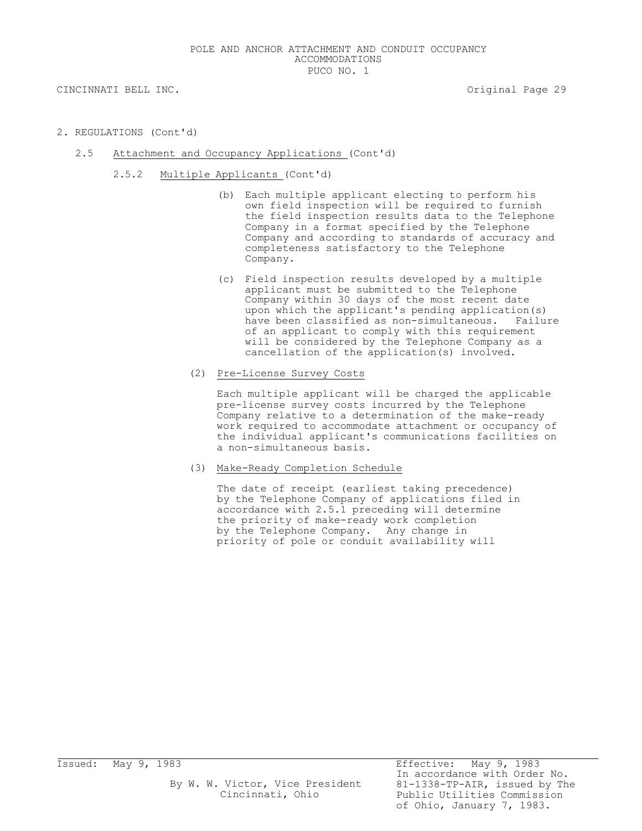- 2. REGULATIONS (Cont'd)
	- 2.5 Attachment and Occupancy Applications (Cont'd)
		- 2.5.2 Multiple Applicants (Cont'd)
			- (b) Each multiple applicant electing to perform his own field inspection will be required to furnish the field inspection results data to the Telephone Company in a format specified by the Telephone Company and according to standards of accuracy and completeness satisfactory to the Telephone Company.
			- (c) Field inspection results developed by a multiple applicant must be submitted to the Telephone Company within 30 days of the most recent date upon which the applicant's pending application(s) have been classified as non-simultaneous. Failure of an applicant to comply with this requirement will be considered by the Telephone Company as a cancellation of the application(s) involved.
			- (2) Pre-License Survey Costs

Each multiple applicant will be charged the applicable pre-license survey costs incurred by the Telephone Company relative to a determination of the make-ready work required to accommodate attachment or occupancy of the individual applicant's communications facilities on a non-simultaneous basis.

(3) Make-Ready Completion Schedule

The date of receipt (earliest taking precedence) by the Telephone Company of applications filed in accordance with 2.5.1 preceding will determine the priority of make-ready work completion by the Telephone Company. Any change in priority of pole or conduit availability will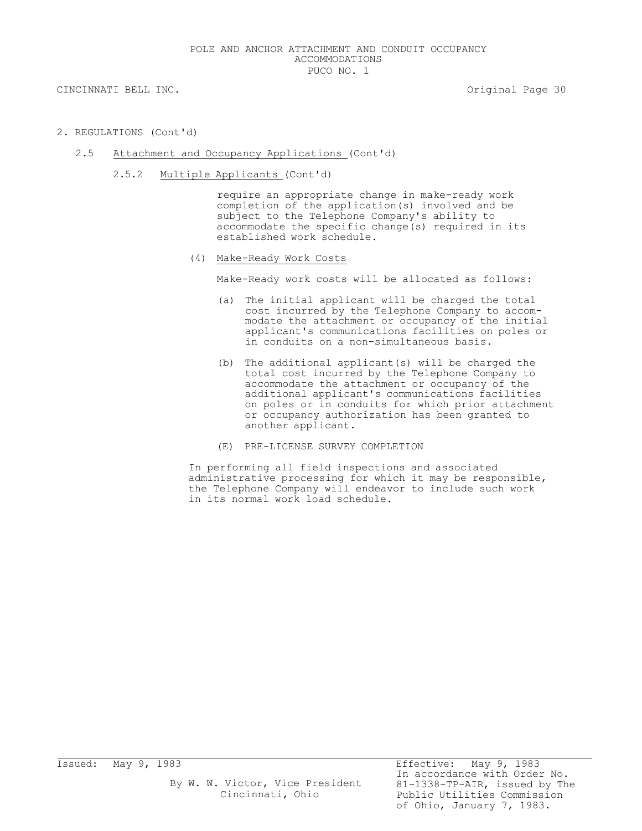- 2. REGULATIONS (Cont'd)
	- 2.5 Attachment and Occupancy Applications (Cont'd)
		- 2.5.2 Multiple Applicants (Cont'd)

require an appropriate change in make-ready work completion of the application(s) involved and be subject to the Telephone Company's ability to accommodate the specific change(s) required in its established work schedule.

(4) Make-Ready Work Costs

Make-Ready work costs will be allocated as follows:

- (a) The initial applicant will be charged the total cost incurred by the Telephone Company to accommodate the attachment or occupancy of the initial applicant's communications facilities on poles or in conduits on a non-simultaneous basis.
- (b) The additional applicant(s) will be charged the total cost incurred by the Telephone Company to accommodate the attachment or occupancy of the additional applicant's communications facilities on poles or in conduits for which prior attachment or occupancy authorization has been granted to another applicant.
- (E) PRE-LICENSE SURVEY COMPLETION

In performing all field inspections and associated administrative processing for which it may be responsible, the Telephone Company will endeavor to include such work in its normal work load schedule.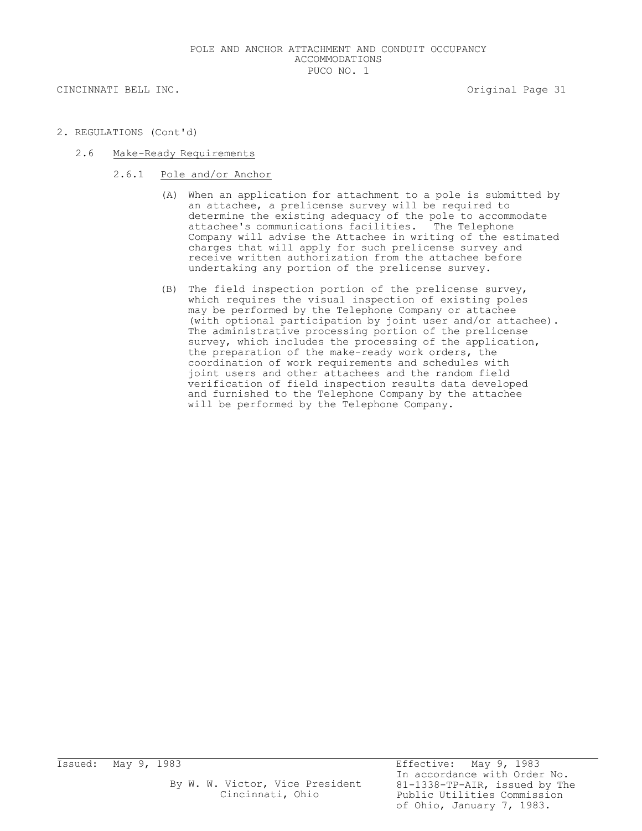- 2. REGULATIONS (Cont'd)
	- 2.6 Make-Ready Requirements
		- 2.6.1 Pole and/or Anchor
			- (A) When an application for attachment to a pole is submitted by an attachee, a prelicense survey will be required to determine the existing adequacy of the pole to accommodate attachee's communications facilities. The Telephone Company will advise the Attachee in writing of the estimated charges that will apply for such prelicense survey and receive written authorization from the attachee before undertaking any portion of the prelicense survey.
			- (B) The field inspection portion of the prelicense survey, which requires the visual inspection of existing poles may be performed by the Telephone Company or attachee (with optional participation by joint user and/or attachee). The administrative processing portion of the prelicense survey, which includes the processing of the application, the preparation of the make-ready work orders, the coordination of work requirements and schedules with joint users and other attachees and the random field verification of field inspection results data developed and furnished to the Telephone Company by the attachee will be performed by the Telephone Company.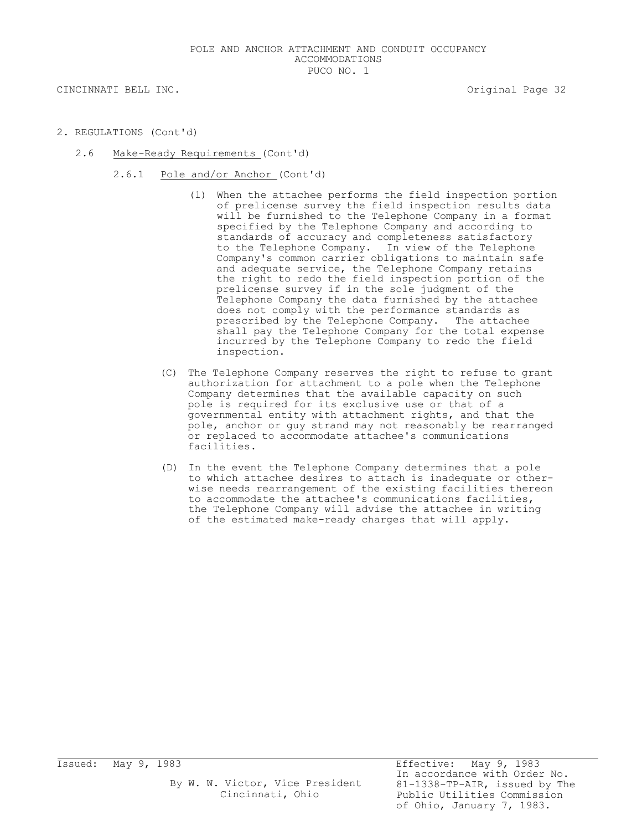- 2. REGULATIONS (Cont'd)
	- 2.6 Make-Ready Requirements (Cont'd)
		- 2.6.1 Pole and/or Anchor (Cont'd)
			- (1) When the attachee performs the field inspection portion of prelicense survey the field inspection results data will be furnished to the Telephone Company in a format specified by the Telephone Company and according to standards of accuracy and completeness satisfactory to the Telephone Company. In view of the Telephone Company's common carrier obligations to maintain safe and adequate service, the Telephone Company retains the right to redo the field inspection portion of the prelicense survey if in the sole judgment of the Telephone Company the data furnished by the attachee does not comply with the performance standards as prescribed by the Telephone Company. The attachee shall pay the Telephone Company for the total expense incurred by the Telephone Company to redo the field inspection.
			- (C) The Telephone Company reserves the right to refuse to grant authorization for attachment to a pole when the Telephone Company determines that the available capacity on such pole is required for its exclusive use or that of a governmental entity with attachment rights, and that the pole, anchor or guy strand may not reasonably be rearranged or replaced to accommodate attachee's communications facilities.
			- (D) In the event the Telephone Company determines that a pole to which attachee desires to attach is inadequate or otherwise needs rearrangement of the existing facilities thereon to accommodate the attachee's communications facilities, the Telephone Company will advise the attachee in writing of the estimated make-ready charges that will apply.

Issued: May 9, 1983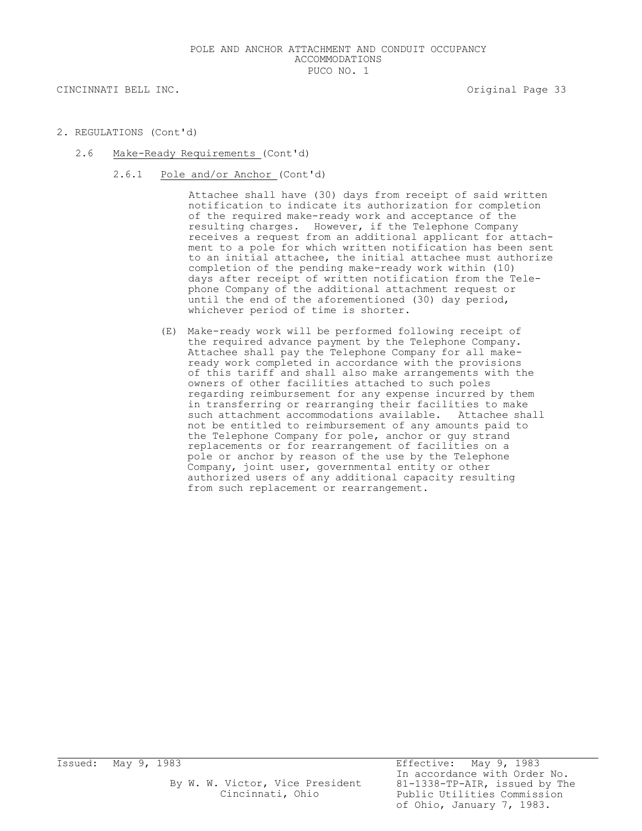- 2. REGULATIONS (Cont'd)
	- 2.6 Make-Ready Requirements (Cont'd)
		- 2.6.1 Pole and/or Anchor (Cont'd)

Attachee shall have (30) days from receipt of said written notification to indicate its authorization for completion of the required make-ready work and acceptance of the resulting charges. However, if the Telephone Company receives a request from an additional applicant for attachment to a pole for which written notification has been sent to an initial attachee, the initial attachee must authorize completion of the pending make-ready work within (10) days after receipt of written notification from the Telephone Company of the additional attachment request or until the end of the aforementioned (30) day period, whichever period of time is shorter.

(E) Make-ready work will be performed following receipt of the required advance payment by the Telephone Company. Attachee shall pay the Telephone Company for all makeready work completed in accordance with the provisions of this tariff and shall also make arrangements with the owners of other facilities attached to such poles regarding reimbursement for any expense incurred by them in transferring or rearranging their facilities to make such attachment accommodations available. Attachee shall not be entitled to reimbursement of any amounts paid to the Telephone Company for pole, anchor or guy strand replacements or for rearrangement of facilities on a pole or anchor by reason of the use by the Telephone Company, joint user, governmental entity or other authorized users of any additional capacity resulting from such replacement or rearrangement.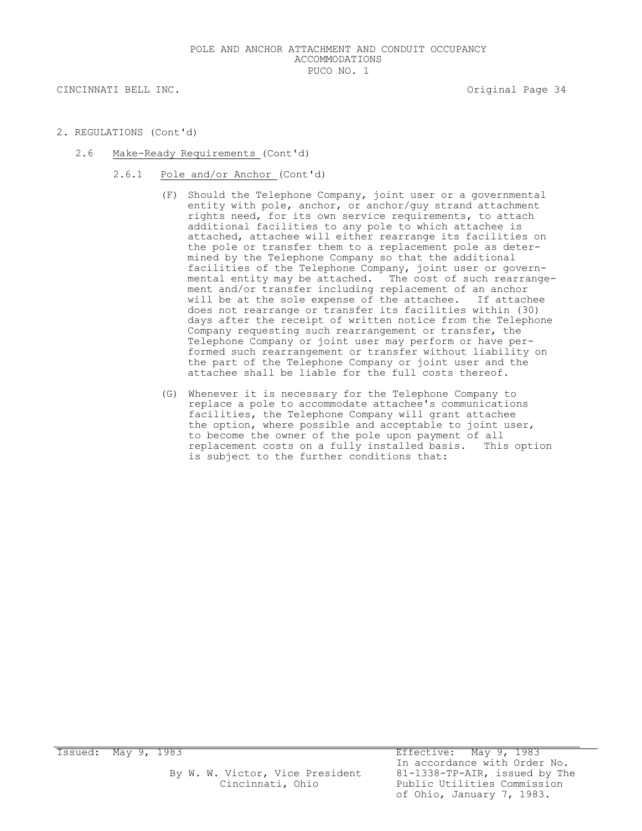- 2. REGULATIONS (Cont'd)
	- 2.6 Make-Ready Requirements (Cont'd)
		- 2.6.1 Pole and/or Anchor (Cont'd)
			- (F) Should the Telephone Company, joint user or a governmental entity with pole, anchor, or anchor/guy strand attachment rights need, for its own service requirements, to attach additional facilities to any pole to which attachee is attached, attachee will either rearrange its facilities on the pole or transfer them to a replacement pole as determined by the Telephone Company so that the additional facilities of the Telephone Company, joint user or governmental entity may be attached. The cost of such rearrangement and/or transfer including replacement of an anchor will be at the sole expense of the attachee. If attachee does not rearrange or transfer its facilities within (30) days after the receipt of written notice from the Telephone Company requesting such rearrangement or transfer, the Telephone Company or joint user may perform or have performed such rearrangement or transfer without liability on the part of the Telephone Company or joint user and the attachee shall be liable for the full costs thereof.
			- (G) Whenever it is necessary for the Telephone Company to replace a pole to accommodate attachee's communications facilities, the Telephone Company will grant attachee the option, where possible and acceptable to joint user, to become the owner of the pole upon payment of all replacement costs on a fully installed basis. This option is subject to the further conditions that: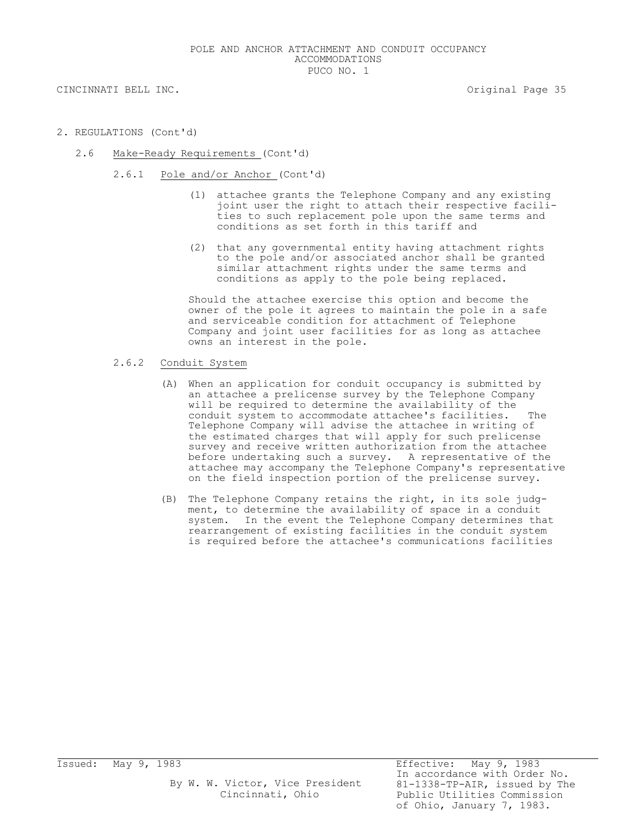CINCINNATI BELL INC. THE CONSTRUCTION OF STRAIN SERVICE OF STRAIN SERVICE OF STRAINING STRAINING STRAINING STR

- 2. REGULATIONS (Cont'd)
	- 2.6 Make-Ready Requirements (Cont'd)
		- 2.6.1 Pole and/or Anchor (Cont'd)
			- (1) attachee grants the Telephone Company and any existing joint user the right to attach their respective facilities to such replacement pole upon the same terms and conditions as set forth in this tariff and
			- (2) that any governmental entity having attachment rights to the pole and/or associated anchor shall be granted similar attachment rights under the same terms and conditions as apply to the pole being replaced.

Should the attachee exercise this option and become the owner of the pole it agrees to maintain the pole in a safe and serviceable condition for attachment of Telephone Company and joint user facilities for as long as attachee owns an interest in the pole.

- 2.6.2 Conduit System
	- (A) When an application for conduit occupancy is submitted by an attachee a prelicense survey by the Telephone Company will be required to determine the availability of the conduit system to accommodate attachee's facilities. The Telephone Company will advise the attachee in writing of the estimated charges that will apply for such prelicense survey and receive written authorization from the attachee before undertaking such a survey. A representative of the attachee may accompany the Telephone Company's representative on the field inspection portion of the prelicense survey.
	- (B) The Telephone Company retains the right, in its sole judgment, to determine the availability of space in a conduit system. In the event the Telephone Company determines that rearrangement of existing facilities in the conduit system is required before the attachee's communications facilities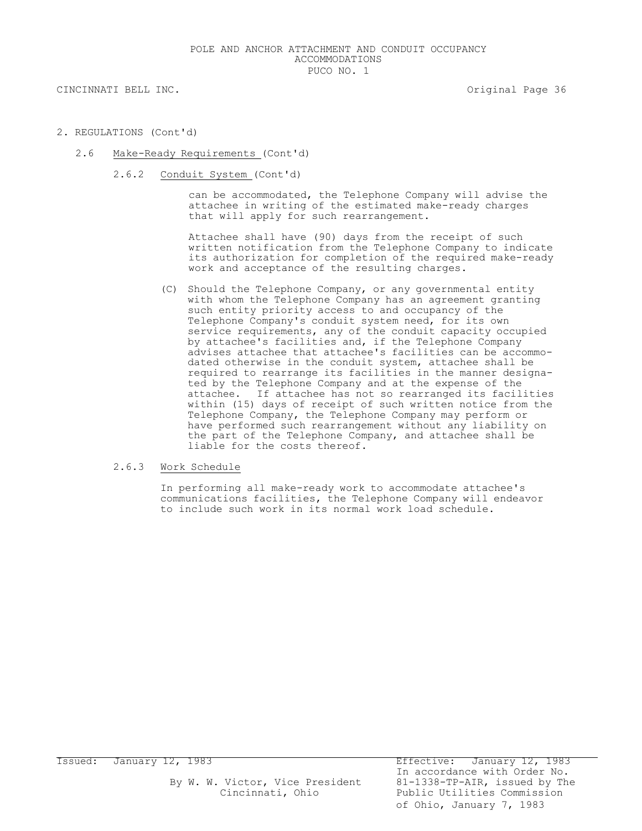CINCINNATI BELL INC. THE CONSTRUCTION OF STRAIN SERVICE OF STRAIN SERVICE OF STRAINING SERVICE OF STRAINING SE

- 2. REGULATIONS (Cont'd)
	- 2.6 Make-Ready Requirements (Cont'd)
		- 2.6.2 Conduit System (Cont'd)

can be accommodated, the Telephone Company will advise the attachee in writing of the estimated make-ready charges that will apply for such rearrangement.

Attachee shall have (90) days from the receipt of such written notification from the Telephone Company to indicate its authorization for completion of the required make-ready work and acceptance of the resulting charges.

(C) Should the Telephone Company, or any governmental entity with whom the Telephone Company has an agreement granting such entity priority access to and occupancy of the Telephone Company's conduit system need, for its own service requirements, any of the conduit capacity occupied by attachee's facilities and, if the Telephone Company advises attachee that attachee's facilities can be accommodated otherwise in the conduit system, attachee shall be required to rearrange its facilities in the manner designated by the Telephone Company and at the expense of the attachee. If attachee has not so rearranged its facilities within (15) days of receipt of such written notice from the Telephone Company, the Telephone Company may perform or have performed such rearrangement without any liability on the part of the Telephone Company, and attachee shall be liable for the costs thereof.

## 2.6.3 Work Schedule

In performing all make-ready work to accommodate attachee's communications facilities, the Telephone Company will endeavor to include such work in its normal work load schedule.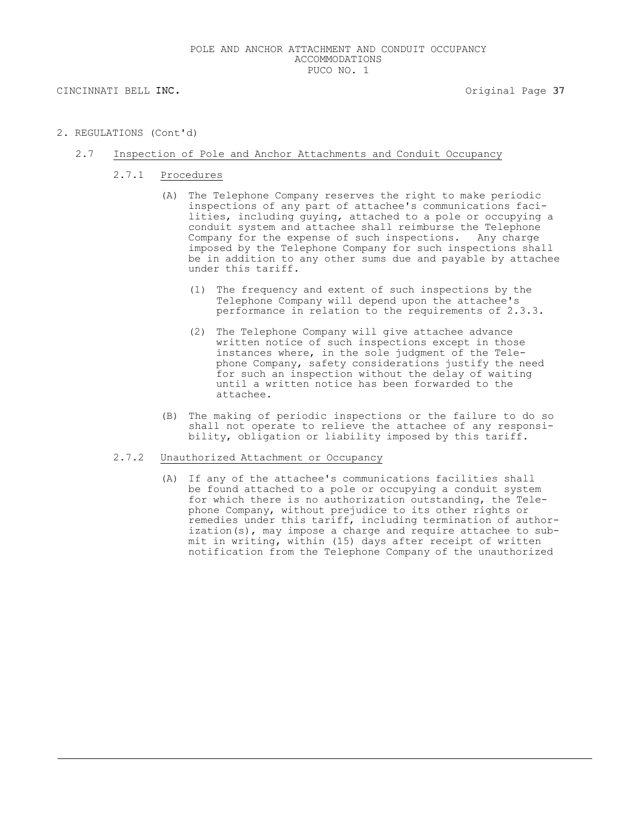2. REGULATIONS (Cont'd)

## 2.7 Inspection of Pole and Anchor Attachments and Conduit Occupancy

- 2.7.1 Procedures
	- (A) The Telephone Company reserves the right to make periodic inspections of any part of attachee's communications facilities, including guying, attached to a pole or occupying a conduit system and attachee shall reimburse the Telephone Company for the expense of such inspections. Any charge imposed by the Telephone Company for such inspections shall be in addition to any other sums due and payable by attachee under this tariff.
		- (1) The frequency and extent of such inspections by the Telephone Company will depend upon the attachee's performance in relation to the requirements of 2.3.3.
		- (2) The Telephone Company will give attachee advance written notice of such inspections except in those instances where, in the sole judgment of the Telephone Company, safety considerations justify the need for such an inspection without the delay of waiting until a written notice has been forwarded to the attachee.
	- (B) The making of periodic inspections or the failure to do so shall not operate to relieve the attachee of any responsibility, obligation or liability imposed by this tariff.

## 2.7.2 Unauthorized Attachment or Occupancy

(A) If any of the attachee's communications facilities shall be found attached to a pole or occupying a conduit system for which there is no authorization outstanding, the Telephone Company, without prejudice to its other rights or remedies under this tariff, including termination of authorization(s), may impose a charge and require attachee to submit in writing, within (15) days after receipt of written notification from the Telephone Company of the unauthorized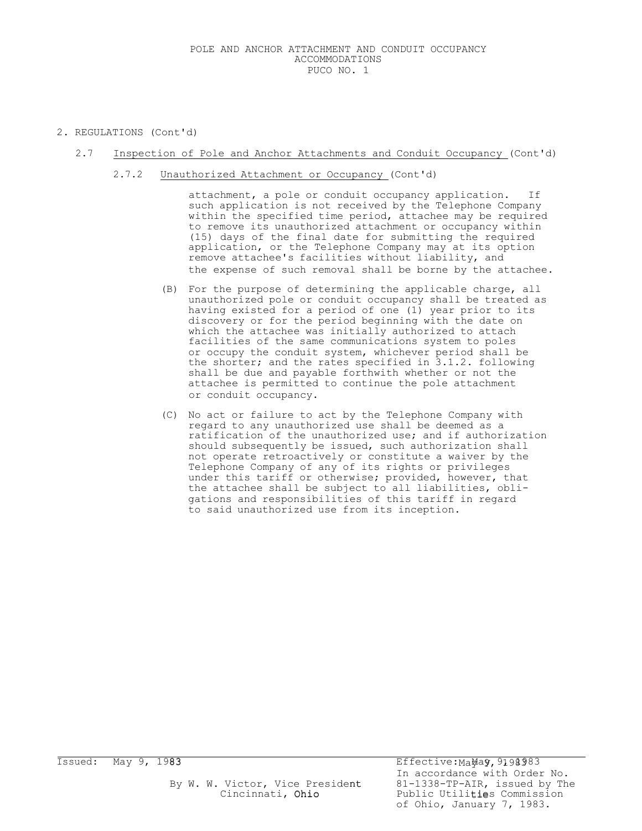2. REGULATIONS (Cont'd)

## 2.7 Inspection of Pole and Anchor Attachments and Conduit Occupancy (Cont'd)

2.7.2 Unauthorized Attachment or Occupancy (Cont'd)

attachment, a pole or conduit occupancy application. If such application is not received by the Telephone Company within the specified time period, attachee may be required to remove its unauthorized attachment or occupancy within (15) days of the final date for submitting the required application, or the Telephone Company may at its option remove attachee's facilities without liability, and the expense of such removal shall be borne by the attachee.

- (B) For the purpose of determining the applicable charge, all unauthorized pole or conduit occupancy shall be treated as having existed for a period of one (1) year prior to its discovery or for the period beginning with the date on which the attachee was initially authorized to attach facilities of the same communications system to poles or occupy the conduit system, whichever period shall be the shorter; and the rates specified in 3.1.2. following shall be due and payable forthwith whether or not the attachee is permitted to continue the pole attachment or conduit occupancy.
- (C) No act or failure to act by the Telephone Company with regard to any unauthorized use shall be deemed as a ratification of the unauthorized use; and if authorization should subsequently be issued, such authorization shall not operate retroactively or constitute a waiver by the Telephone Company of any of its rights or privileges under this tariff or otherwise; provided, however, that the attachee shall be subject to all liabilities, obligations and responsibilities of this tariff in regard to said unauthorized use from its inception.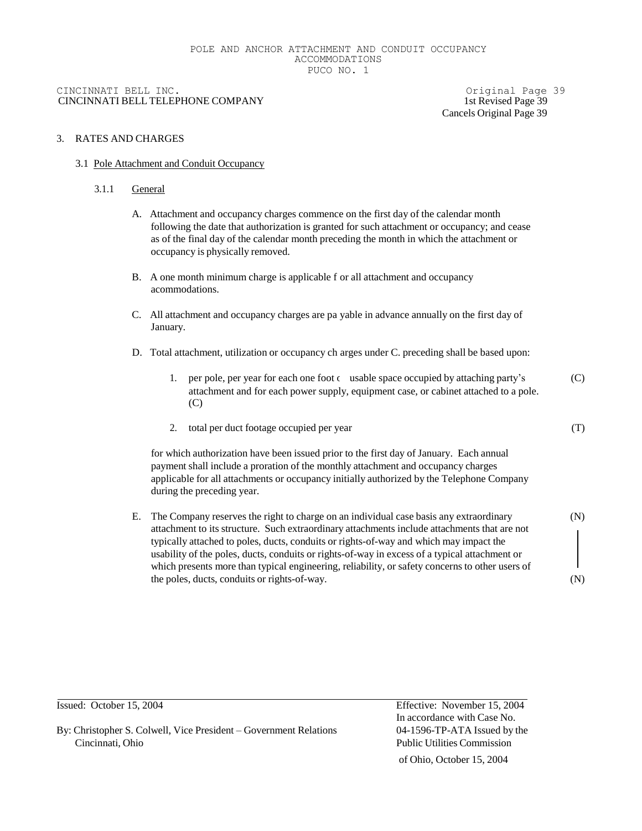## CINCINNATI BELL INC. Original Page 39 CINCINNATI BELL TELEPHONE COMPANY 1st Revised Page 39

Cancels Original Page 39

## 3. RATES AND CHARGES

## 3.1 Pole Attachment and Conduit Occupancy

## 3.1.1 General

- A. Attachment and occupancy charges commence on the first day of the calendar month following the date that authorization is granted for such attachment or occupancy; and cease as of the final day of the calendar month preceding the month in which the attachment or occupancy is physically removed.
- B. A one month minimum charge is applicable f or all attachment and occupancy acommodations.
- C. All attachment and occupancy charges are pa yable in advance annually on the first day of January.
- D. Total attachment, utilization or occupancy ch arges under C. preceding shall be based upon:
	- 1. per pole, per year for each one foot  $\epsilon$  usable space occupied by attaching party's (C) attachment and for each power supply, equipment case, or cabinet attached to a pole. (C)
	- 2. total per duct footage occupied per year

for which authorization have been issued prior to the first day of January. Each annual payment shall include a proration of the monthly attachment and occupancy charges applicable for all attachments or occupancy initially authorized by the Telephone Company during the preceding year.

E. The Company reserves the right to charge on an individual case basis any extraordinary attachment to its structure. Such extraordinary attachments include attachments that are not typically attached to poles, ducts, conduits or rights-of-way and which may impact the usability of the poles, ducts, conduits or rights-of-way in excess of a typical attachment or which presents more than typical engineering, reliability, or safety concerns to other users of the poles, ducts, conduits or rights-of-way.

(N)

(N)

(T)

By: Christopher S. Colwell, Vice President – Government Relations 04-1596-TP-ATA Issued by the Cincinnati, Ohio Public Utilities Commission

Issued: October 15, 2004 Effective: November 15, 2004 In accordance with Case No.

of Ohio, October 15, 2004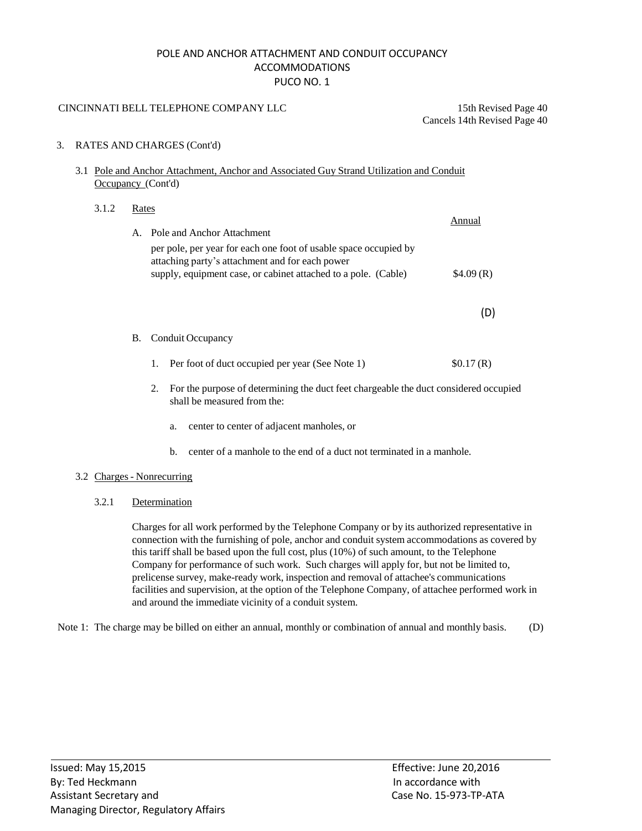## POLE AND ANCHOR ATTACHMENT AND CONDUIT OCCUPANCY ACCOMMODATIONS PUCO NO. 1

## CINCINNATI BELL TELEPHONE COMPANY LLC 15th Revised Page 40

Cancels 14th Revised Page 40

## 3. RATES AND CHARGES (Cont'd)

## 3.1 Pole and Anchor Attachment, Anchor and Associated Guy Strand Utilization and Conduit Occupancy (Cont'd)

# 3.1.2 Rates A. Pole and Anchor Attachment per pole, per year for each one foot of usable space occupied by attaching party's attachment and for each power Annual supply, equipment case, or cabinet attached to a pole. (Cable) \$4.09 (R) (D)

## B. Conduit Occupancy

- 1. Per foot of duct occupied per year (See Note 1) \$0.17 (R)
- 2. For the purpose of determining the duct feet chargeable the duct considered occupied shall be measured from the:
	- a. center to center of adjacent manholes, or
	- b. center of a manhole to the end of a duct not terminated in a manhole.

## 3.2 Charges- Nonrecurring

## 3.2.1 Determination

Charges for all work performed by the Telephone Company or by its authorized representative in connection with the furnishing of pole, anchor and conduit system accommodations as covered by this tariff shall be based upon the full cost, plus (10%) of such amount, to the Telephone Company for performance of such work. Such charges will apply for, but not be limited to, prelicense survey, make-ready work, inspection and removal of attachee's communications facilities and supervision, at the option of the Telephone Company, of attachee performed work in and around the immediate vicinity of a conduit system.

Note 1: The charge may be billed on either an annual, monthly or combination of annual and monthly basis. (D)